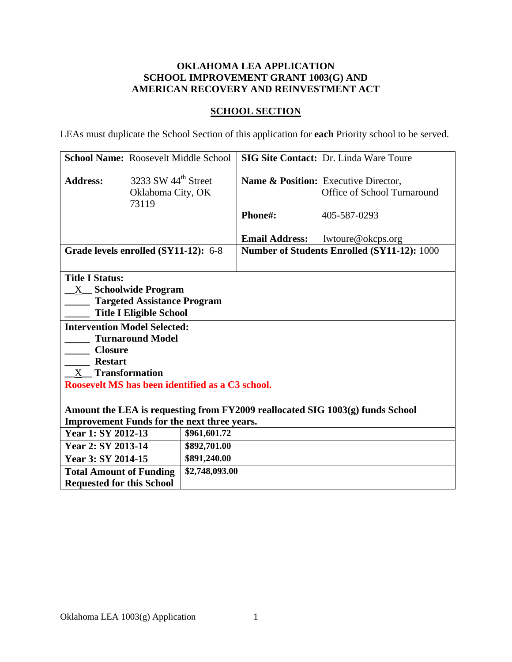# **OKLAHOMA LEA APPLICATION SCHOOL IMPROVEMENT GRANT 1003(G) AND AMERICAN RECOVERY AND REINVESTMENT ACT**

# **SCHOOL SECTION**

LEAs must duplicate the School Section of this application for **each** Priority school to be served.

| <b>School Name: Roosevelt Middle School</b>                                                                                                                                |                                                                                              |                |                       | <b>SIG Site Contact: Dr. Linda Ware Toure</b>                                  |
|----------------------------------------------------------------------------------------------------------------------------------------------------------------------------|----------------------------------------------------------------------------------------------|----------------|-----------------------|--------------------------------------------------------------------------------|
| <b>Address:</b>                                                                                                                                                            | 3233 SW $44th$ Street<br>Oklahoma City, OK<br>73119                                          |                |                       | <b>Name &amp; Position:</b> Executive Director,<br>Office of School Turnaround |
|                                                                                                                                                                            |                                                                                              |                | Phone#:               | 405-587-0293                                                                   |
|                                                                                                                                                                            |                                                                                              |                | <b>Email Address:</b> | lwtoure@okcps.org                                                              |
| Grade levels enrolled (SY11-12): 6-8                                                                                                                                       |                                                                                              |                |                       | Number of Students Enrolled (SY11-12): 1000                                    |
| <b>Title I Status:</b>                                                                                                                                                     | X Schoolwide Program<br><b>Targeted Assistance Program</b><br><b>Title I Eligible School</b> |                |                       |                                                                                |
| <b>Intervention Model Selected:</b><br><b>Turnaround Model</b><br><b>Closure</b><br><b>Restart</b><br>X Transformation<br>Roosevelt MS has been identified as a C3 school. |                                                                                              |                |                       |                                                                                |
| Amount the LEA is requesting from FY2009 reallocated SIG 1003(g) funds School<br><b>Improvement Funds for the next three years.</b>                                        |                                                                                              |                |                       |                                                                                |
| Year 1: SY 2012-13                                                                                                                                                         |                                                                                              | \$961,601.72   |                       |                                                                                |
| Year 2: SY 2013-14                                                                                                                                                         |                                                                                              | \$892,701.00   |                       |                                                                                |
| Year 3: SY 2014-15                                                                                                                                                         |                                                                                              | \$891,240.00   |                       |                                                                                |
| <b>Total Amount of Funding</b>                                                                                                                                             |                                                                                              | \$2,748,093.00 |                       |                                                                                |
| <b>Requested for this School</b>                                                                                                                                           |                                                                                              |                |                       |                                                                                |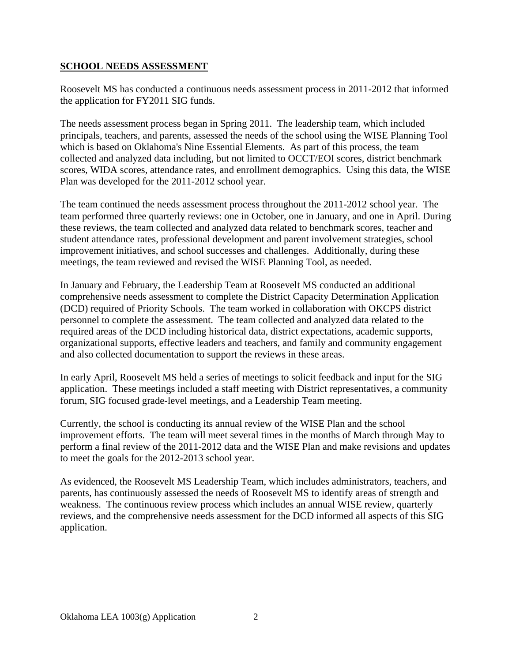# **SCHOOL NEEDS ASSESSMENT**

Roosevelt MS has conducted a continuous needs assessment process in 2011-2012 that informed the application for FY2011 SIG funds.

The needs assessment process began in Spring 2011. The leadership team, which included principals, teachers, and parents, assessed the needs of the school using the WISE Planning Tool which is based on Oklahoma's Nine Essential Elements. As part of this process, the team collected and analyzed data including, but not limited to OCCT/EOI scores, district benchmark scores, WIDA scores, attendance rates, and enrollment demographics. Using this data, the WISE Plan was developed for the 2011-2012 school year.

The team continued the needs assessment process throughout the 2011-2012 school year. The team performed three quarterly reviews: one in October, one in January, and one in April. During these reviews, the team collected and analyzed data related to benchmark scores, teacher and student attendance rates, professional development and parent involvement strategies, school improvement initiatives, and school successes and challenges. Additionally, during these meetings, the team reviewed and revised the WISE Planning Tool, as needed.

In January and February, the Leadership Team at Roosevelt MS conducted an additional comprehensive needs assessment to complete the District Capacity Determination Application (DCD) required of Priority Schools. The team worked in collaboration with OKCPS district personnel to complete the assessment. The team collected and analyzed data related to the required areas of the DCD including historical data, district expectations, academic supports, organizational supports, effective leaders and teachers, and family and community engagement and also collected documentation to support the reviews in these areas.

In early April, Roosevelt MS held a series of meetings to solicit feedback and input for the SIG application. These meetings included a staff meeting with District representatives, a community forum, SIG focused grade-level meetings, and a Leadership Team meeting.

Currently, the school is conducting its annual review of the WISE Plan and the school improvement efforts. The team will meet several times in the months of March through May to perform a final review of the 2011-2012 data and the WISE Plan and make revisions and updates to meet the goals for the 2012-2013 school year.

As evidenced, the Roosevelt MS Leadership Team, which includes administrators, teachers, and parents, has continuously assessed the needs of Roosevelt MS to identify areas of strength and weakness. The continuous review process which includes an annual WISE review, quarterly reviews, and the comprehensive needs assessment for the DCD informed all aspects of this SIG application.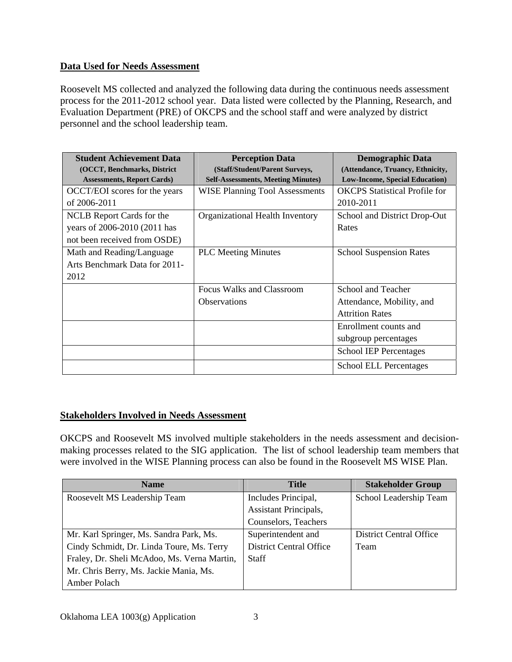# **Data Used for Needs Assessment**

Roosevelt MS collected and analyzed the following data during the continuous needs assessment process for the 2011-2012 school year. Data listed were collected by the Planning, Research, and Evaluation Department (PRE) of OKCPS and the school staff and were analyzed by district personnel and the school leadership team.

| <b>Student Achievement Data</b><br>(OCCT, Benchmarks, District | <b>Perception Data</b><br>(Staff/Student/Parent Surveys, | <b>Demographic Data</b><br>(Attendance, Truancy, Ethnicity, |
|----------------------------------------------------------------|----------------------------------------------------------|-------------------------------------------------------------|
| <b>Assessments, Report Cards)</b>                              | <b>Self-Assessments, Meeting Minutes)</b>                | <b>Low-Income, Special Education)</b>                       |
| OCCT/EOI scores for the years                                  | <b>WISE Planning Tool Assessments</b>                    | <b>OKCPS</b> Statistical Profile for                        |
| of 2006-2011                                                   |                                                          | 2010-2011                                                   |
| NCLB Report Cards for the                                      | Organizational Health Inventory                          | School and District Drop-Out                                |
| years of 2006-2010 (2011 has                                   |                                                          | Rates                                                       |
| not been received from OSDE)                                   |                                                          |                                                             |
| Math and Reading/Language                                      | <b>PLC</b> Meeting Minutes                               | <b>School Suspension Rates</b>                              |
| Arts Benchmark Data for 2011-                                  |                                                          |                                                             |
| 2012                                                           |                                                          |                                                             |
|                                                                | Focus Walks and Classroom                                | School and Teacher                                          |
|                                                                | <b>Observations</b>                                      | Attendance, Mobility, and                                   |
|                                                                |                                                          | <b>Attrition Rates</b>                                      |
|                                                                |                                                          | Enrollment counts and                                       |
|                                                                |                                                          | subgroup percentages                                        |
|                                                                |                                                          | <b>School IEP Percentages</b>                               |
|                                                                |                                                          | <b>School ELL Percentages</b>                               |

# **Stakeholders Involved in Needs Assessment**

OKCPS and Roosevelt MS involved multiple stakeholders in the needs assessment and decisionmaking processes related to the SIG application. The list of school leadership team members that were involved in the WISE Planning process can also be found in the Roosevelt MS WISE Plan.

| <b>Name</b>                                 | <b>Title</b>                   | <b>Stakeholder Group</b>       |
|---------------------------------------------|--------------------------------|--------------------------------|
| Roosevelt MS Leadership Team                | Includes Principal,            | School Leadership Team         |
|                                             | <b>Assistant Principals,</b>   |                                |
|                                             | Counselors, Teachers           |                                |
| Mr. Karl Springer, Ms. Sandra Park, Ms.     | Superintendent and             | <b>District Central Office</b> |
| Cindy Schmidt, Dr. Linda Toure, Ms. Terry   | <b>District Central Office</b> | Team                           |
| Fraley, Dr. Sheli McAdoo, Ms. Verna Martin, | <b>Staff</b>                   |                                |
| Mr. Chris Berry, Ms. Jackie Mania, Ms.      |                                |                                |
| Amber Polach                                |                                |                                |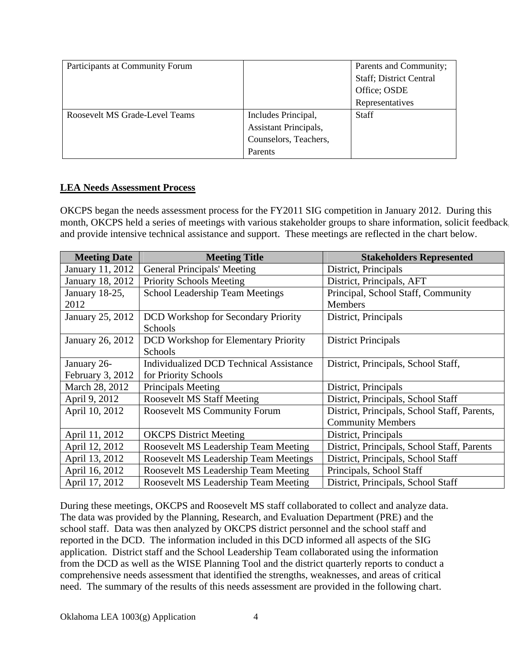| Participants at Community Forum |                       | Parents and Community;          |
|---------------------------------|-----------------------|---------------------------------|
|                                 |                       | <b>Staff</b> ; District Central |
|                                 |                       | Office; OSDE                    |
|                                 |                       | Representatives                 |
| Roosevelt MS Grade-Level Teams  | Includes Principal,   | <b>Staff</b>                    |
|                                 | Assistant Principals, |                                 |
|                                 | Counselors, Teachers, |                                 |
|                                 | Parents               |                                 |

## **LEA Needs Assessment Process**

OKCPS began the needs assessment process for the FY2011 SIG competition in January 2012. During this month, OKCPS held a series of meetings with various stakeholder groups to share information, solicit feedback, and provide intensive technical assistance and support. These meetings are reflected in the chart below.

| <b>Meeting Date</b> | <b>Meeting Title</b>                           | <b>Stakeholders Represented</b>              |
|---------------------|------------------------------------------------|----------------------------------------------|
| January 11, 2012    | <b>General Principals' Meeting</b>             | District, Principals                         |
| January 18, 2012    | <b>Priority Schools Meeting</b>                | District, Principals, AFT                    |
| January 18-25,      | School Leadership Team Meetings                | Principal, School Staff, Community           |
| 2012                |                                                | <b>Members</b>                               |
| January 25, 2012    | <b>DCD</b> Workshop for Secondary Priority     | District, Principals                         |
|                     | <b>Schools</b>                                 |                                              |
| January 26, 2012    | <b>DCD</b> Workshop for Elementary Priority    | <b>District Principals</b>                   |
|                     | Schools                                        |                                              |
| January 26-         | <b>Individualized DCD Technical Assistance</b> | District, Principals, School Staff,          |
| February 3, 2012    | for Priority Schools                           |                                              |
| March 28, 2012      | Principals Meeting                             | District, Principals                         |
| April 9, 2012       | <b>Roosevelt MS Staff Meeting</b>              | District, Principals, School Staff           |
| April 10, 2012      | <b>Roosevelt MS Community Forum</b>            | District, Principals, School Staff, Parents, |
|                     |                                                | <b>Community Members</b>                     |
| April 11, 2012      | <b>OKCPS</b> District Meeting                  | District, Principals                         |
| April 12, 2012      | Roosevelt MS Leadership Team Meeting           | District, Principals, School Staff, Parents  |
| April 13, 2012      | Roosevelt MS Leadership Team Meetings          | District, Principals, School Staff           |
| April 16, 2012      | Roosevelt MS Leadership Team Meeting           | Principals, School Staff                     |
| April 17, 2012      | Roosevelt MS Leadership Team Meeting           | District, Principals, School Staff           |

During these meetings, OKCPS and Roosevelt MS staff collaborated to collect and analyze data. The data was provided by the Planning, Research, and Evaluation Department (PRE) and the school staff. Data was then analyzed by OKCPS district personnel and the school staff and reported in the DCD. The information included in this DCD informed all aspects of the SIG application. District staff and the School Leadership Team collaborated using the information from the DCD as well as the WISE Planning Tool and the district quarterly reports to conduct a comprehensive needs assessment that identified the strengths, weaknesses, and areas of critical need. The summary of the results of this needs assessment are provided in the following chart.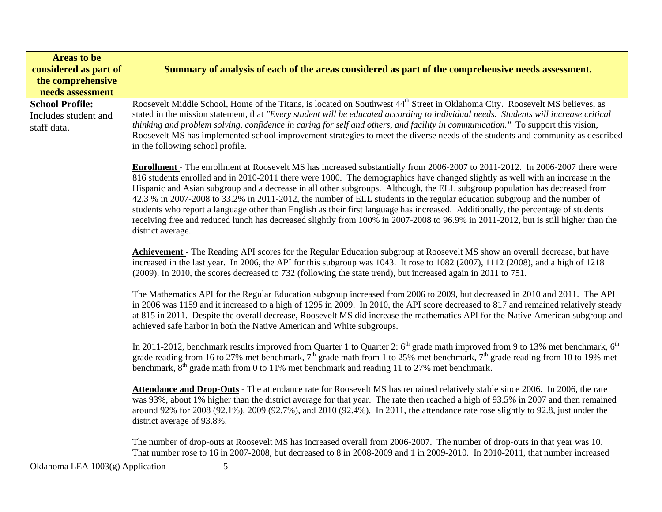| <b>Areas to be</b><br>considered as part of<br>the comprehensive<br>needs assessment | Summary of analysis of each of the areas considered as part of the comprehensive needs assessment.                                                                                                                                                                                                                                                                                                                                                                                                                                                                                                                                                                                                                                                                                                                                |
|--------------------------------------------------------------------------------------|-----------------------------------------------------------------------------------------------------------------------------------------------------------------------------------------------------------------------------------------------------------------------------------------------------------------------------------------------------------------------------------------------------------------------------------------------------------------------------------------------------------------------------------------------------------------------------------------------------------------------------------------------------------------------------------------------------------------------------------------------------------------------------------------------------------------------------------|
| <b>School Profile:</b><br>Includes student and<br>staff data.                        | Roosevelt Middle School, Home of the Titans, is located on Southwest 44 <sup>th</sup> Street in Oklahoma City. Roosevelt MS believes, as<br>stated in the mission statement, that "Every student will be educated according to individual needs. Students will increase critical<br>thinking and problem solving, confidence in caring for self and others, and facility in communication." To support this vision,<br>Roosevelt MS has implemented school improvement strategies to meet the diverse needs of the students and community as described<br>in the following school profile.                                                                                                                                                                                                                                        |
|                                                                                      | <b>Enrollment</b> - The enrollment at Roosevelt MS has increased substantially from 2006-2007 to 2011-2012. In 2006-2007 there were<br>816 students enrolled and in 2010-2011 there were 1000. The demographics have changed slightly as well with an increase in the<br>Hispanic and Asian subgroup and a decrease in all other subgroups. Although, the ELL subgroup population has decreased from<br>42.3 % in 2007-2008 to 33.2% in 2011-2012, the number of ELL students in the regular education subgroup and the number of<br>students who report a language other than English as their first language has increased. Additionally, the percentage of students<br>receiving free and reduced lunch has decreased slightly from 100% in 2007-2008 to 96.9% in 2011-2012, but is still higher than the<br>district average. |
|                                                                                      | Achievement - The Reading API scores for the Regular Education subgroup at Roosevelt MS show an overall decrease, but have<br>increased in the last year. In 2006, the API for this subgroup was 1043. It rose to 1082 (2007), 1112 (2008), and a high of 1218<br>(2009). In 2010, the scores decreased to 732 (following the state trend), but increased again in 2011 to 751.                                                                                                                                                                                                                                                                                                                                                                                                                                                   |
|                                                                                      | The Mathematics API for the Regular Education subgroup increased from 2006 to 2009, but decreased in 2010 and 2011. The API<br>in 2006 was 1159 and it increased to a high of 1295 in 2009. In 2010, the API score decreased to 817 and remained relatively steady<br>at 815 in 2011. Despite the overall decrease, Roosevelt MS did increase the mathematics API for the Native American subgroup and<br>achieved safe harbor in both the Native American and White subgroups.                                                                                                                                                                                                                                                                                                                                                   |
|                                                                                      | In 2011-2012, benchmark results improved from Quarter 1 to Quarter 2: 6 <sup>th</sup> grade math improved from 9 to 13% met benchmark, 6 <sup>th</sup><br>grade reading from 16 to 27% met benchmark, $7th$ grade math from 1 to 25% met benchmark, $7th$ grade reading from 10 to 19% met<br>benchmark, 8 <sup>th</sup> grade math from 0 to 11% met benchmark and reading 11 to 27% met benchmark.                                                                                                                                                                                                                                                                                                                                                                                                                              |
|                                                                                      | Attendance and Drop-Outs - The attendance rate for Roosevelt MS has remained relatively stable since 2006. In 2006, the rate<br>was 93%, about 1% higher than the district average for that year. The rate then reached a high of 93.5% in 2007 and then remained<br>around 92% for 2008 (92.1%), 2009 (92.7%), and 2010 (92.4%). In 2011, the attendance rate rose slightly to 92.8, just under the<br>district average of 93.8%.                                                                                                                                                                                                                                                                                                                                                                                                |
|                                                                                      | The number of drop-outs at Roosevelt MS has increased overall from 2006-2007. The number of drop-outs in that year was 10.<br>That number rose to 16 in 2007-2008, but decreased to 8 in 2008-2009 and 1 in 2009-2010. In 2010-2011, that number increased                                                                                                                                                                                                                                                                                                                                                                                                                                                                                                                                                                        |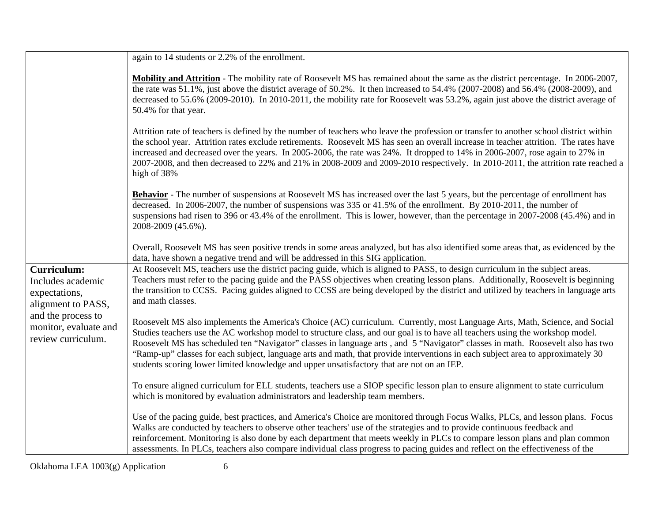|                                                                                                                                                     | again to 14 students or 2.2% of the enrollment.                                                                                                                                                                                                                                                                                                                                                                                                                                                                                                                                                                                |
|-----------------------------------------------------------------------------------------------------------------------------------------------------|--------------------------------------------------------------------------------------------------------------------------------------------------------------------------------------------------------------------------------------------------------------------------------------------------------------------------------------------------------------------------------------------------------------------------------------------------------------------------------------------------------------------------------------------------------------------------------------------------------------------------------|
|                                                                                                                                                     | Mobility and Attrition - The mobility rate of Roosevelt MS has remained about the same as the district percentage. In 2006-2007,<br>the rate was 51.1%, just above the district average of 50.2%. It then increased to 54.4% (2007-2008) and 56.4% (2008-2009), and<br>decreased to 55.6% (2009-2010). In 2010-2011, the mobility rate for Roosevelt was 53.2%, again just above the district average of<br>50.4% for that year.                                                                                                                                                                                               |
|                                                                                                                                                     | Attrition rate of teachers is defined by the number of teachers who leave the profession or transfer to another school district within<br>the school year. Attrition rates exclude retirements. Roosevelt MS has seen an overall increase in teacher attrition. The rates have<br>increased and decreased over the years. In 2005-2006, the rate was 24%. It dropped to 14% in 2006-2007, rose again to 27% in<br>2007-2008, and then decreased to 22% and 21% in 2008-2009 and 2009-2010 respectively. In 2010-2011, the attrition rate reached a<br>high of 38%                                                              |
|                                                                                                                                                     | <b>Behavior</b> - The number of suspensions at Roosevelt MS has increased over the last 5 years, but the percentage of enrollment has<br>decreased. In 2006-2007, the number of suspensions was 335 or 41.5% of the enrollment. By 2010-2011, the number of<br>suspensions had risen to 396 or 43.4% of the enrollment. This is lower, however, than the percentage in 2007-2008 (45.4%) and in<br>2008-2009 (45.6%).                                                                                                                                                                                                          |
|                                                                                                                                                     | Overall, Roosevelt MS has seen positive trends in some areas analyzed, but has also identified some areas that, as evidenced by the<br>data, have shown a negative trend and will be addressed in this SIG application.                                                                                                                                                                                                                                                                                                                                                                                                        |
| <b>Curriculum:</b><br>Includes academic<br>expectations,<br>alignment to PASS,<br>and the process to<br>monitor, evaluate and<br>review curriculum. | At Roosevelt MS, teachers use the district pacing guide, which is aligned to PASS, to design curriculum in the subject areas.<br>Teachers must refer to the pacing guide and the PASS objectives when creating lesson plans. Additionally, Roosevelt is beginning<br>the transition to CCSS. Pacing guides aligned to CCSS are being developed by the district and utilized by teachers in language arts<br>and math classes.                                                                                                                                                                                                  |
|                                                                                                                                                     | Roosevelt MS also implements the America's Choice (AC) curriculum. Currently, most Language Arts, Math, Science, and Social<br>Studies teachers use the AC workshop model to structure class, and our goal is to have all teachers using the workshop model.<br>Roosevelt MS has scheduled ten "Navigator" classes in language arts, and 5 "Navigator" classes in math. Roosevelt also has two<br>"Ramp-up" classes for each subject, language arts and math, that provide interventions in each subject area to approximately 30<br>students scoring lower limited knowledge and upper unsatisfactory that are not on an IEP. |
|                                                                                                                                                     | To ensure aligned curriculum for ELL students, teachers use a SIOP specific lesson plan to ensure alignment to state curriculum<br>which is monitored by evaluation administrators and leadership team members.                                                                                                                                                                                                                                                                                                                                                                                                                |
|                                                                                                                                                     | Use of the pacing guide, best practices, and America's Choice are monitored through Focus Walks, PLCs, and lesson plans. Focus<br>Walks are conducted by teachers to observe other teachers' use of the strategies and to provide continuous feedback and<br>reinforcement. Monitoring is also done by each department that meets weekly in PLCs to compare lesson plans and plan common<br>assessments. In PLCs, teachers also compare individual class progress to pacing guides and reflect on the effectiveness of the                                                                                                     |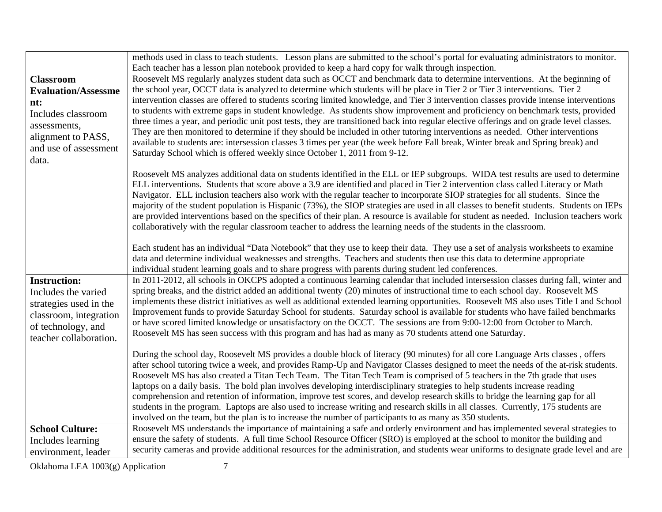|                            | methods used in class to teach students. Lesson plans are submitted to the school's portal for evaluating administrators to monitor.                                                                                                                                   |
|----------------------------|------------------------------------------------------------------------------------------------------------------------------------------------------------------------------------------------------------------------------------------------------------------------|
|                            | Each teacher has a lesson plan notebook provided to keep a hard copy for walk through inspection.                                                                                                                                                                      |
| <b>Classroom</b>           | Roosevelt MS regularly analyzes student data such as OCCT and benchmark data to determine interventions. At the beginning of                                                                                                                                           |
| <b>Evaluation/Assessme</b> | the school year, OCCT data is analyzed to determine which students will be place in Tier 2 or Tier 3 interventions. Tier 2                                                                                                                                             |
| nt:                        | intervention classes are offered to students scoring limited knowledge, and Tier 3 intervention classes provide intense interventions                                                                                                                                  |
| Includes classroom         | to students with extreme gaps in student knowledge. As students show improvement and proficiency on benchmark tests, provided                                                                                                                                          |
| assessments,               | three times a year, and periodic unit post tests, they are transitioned back into regular elective offerings and on grade level classes.                                                                                                                               |
| alignment to PASS,         | They are then monitored to determine if they should be included in other tutoring interventions as needed. Other interventions                                                                                                                                         |
| and use of assessment      | available to students are: intersession classes 3 times per year (the week before Fall break, Winter break and Spring break) and                                                                                                                                       |
| data.                      | Saturday School which is offered weekly since October 1, 2011 from 9-12.                                                                                                                                                                                               |
|                            |                                                                                                                                                                                                                                                                        |
|                            | Roosevelt MS analyzes additional data on students identified in the ELL or IEP subgroups. WIDA test results are used to determine<br>ELL interventions. Students that score above a 3.9 are identified and placed in Tier 2 intervention class called Literacy or Math |
|                            | Navigator. ELL inclusion teachers also work with the regular teacher to incorporate SIOP strategies for all students. Since the                                                                                                                                        |
|                            | majority of the student population is Hispanic (73%), the SIOP strategies are used in all classes to benefit students. Students on IEPs                                                                                                                                |
|                            | are provided interventions based on the specifics of their plan. A resource is available for student as needed. Inclusion teachers work                                                                                                                                |
|                            | collaboratively with the regular classroom teacher to address the learning needs of the students in the classroom.                                                                                                                                                     |
|                            |                                                                                                                                                                                                                                                                        |
|                            | Each student has an individual "Data Notebook" that they use to keep their data. They use a set of analysis worksheets to examine                                                                                                                                      |
|                            | data and determine individual weaknesses and strengths. Teachers and students then use this data to determine appropriate                                                                                                                                              |
|                            | individual student learning goals and to share progress with parents during student led conferences.                                                                                                                                                                   |
| <b>Instruction:</b>        | In 2011-2012, all schools in OKCPS adopted a continuous learning calendar that included intersession classes during fall, winter and                                                                                                                                   |
| Includes the varied        | spring breaks, and the district added an additional twenty (20) minutes of instructional time to each school day. Roosevelt MS                                                                                                                                         |
| strategies used in the     | implements these district initiatives as well as additional extended learning opportunities. Roosevelt MS also uses Title I and School                                                                                                                                 |
| classroom, integration     | Improvement funds to provide Saturday School for students. Saturday school is available for students who have failed benchmarks                                                                                                                                        |
| of technology, and         | or have scored limited knowledge or unsatisfactory on the OCCT. The sessions are from 9:00-12:00 from October to March.                                                                                                                                                |
| teacher collaboration.     | Roosevelt MS has seen success with this program and has had as many as 70 students attend one Saturday.                                                                                                                                                                |
|                            |                                                                                                                                                                                                                                                                        |
|                            | During the school day, Roosevelt MS provides a double block of literacy (90 minutes) for all core Language Arts classes, offers<br>after school tutoring twice a week, and provides Ramp-Up and Navigator Classes designed to meet the needs of the at-risk students.  |
|                            | Roosevelt MS has also created a Titan Tech Team. The Titan Tech Team is comprised of 5 teachers in the 7th grade that uses                                                                                                                                             |
|                            | laptops on a daily basis. The bold plan involves developing interdisciplinary strategies to help students increase reading                                                                                                                                             |
|                            | comprehension and retention of information, improve test scores, and develop research skills to bridge the learning gap for all                                                                                                                                        |
|                            | students in the program. Laptops are also used to increase writing and research skills in all classes. Currently, 175 students are                                                                                                                                     |
|                            | involved on the team, but the plan is to increase the number of participants to as many as 350 students.                                                                                                                                                               |
| <b>School Culture:</b>     | Roosevelt MS understands the importance of maintaining a safe and orderly environment and has implemented several strategies to                                                                                                                                        |
| Includes learning          | ensure the safety of students. A full time School Resource Officer (SRO) is employed at the school to monitor the building and                                                                                                                                         |
| environment, leader        | security cameras and provide additional resources for the administration, and students wear uniforms to designate grade level and are                                                                                                                                  |
|                            |                                                                                                                                                                                                                                                                        |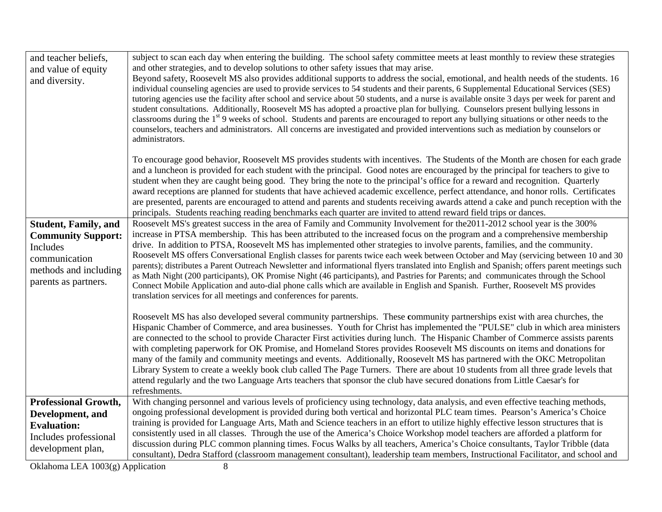| and teacher beliefs,<br>and value of equity<br>and diversity.                                                                          | subject to scan each day when entering the building. The school safety committee meets at least monthly to review these strategies<br>and other strategies, and to develop solutions to other safety issues that may arise.<br>Beyond safety, Roosevelt MS also provides additional supports to address the social, emotional, and health needs of the students. 16<br>individual counseling agencies are used to provide services to 54 students and their parents, 6 Supplemental Educational Services (SES)<br>tutoring agencies use the facility after school and service about 50 students, and a nurse is available onsite 3 days per week for parent and<br>student consultations. Additionally, Roosevelt MS has adopted a proactive plan for bullying. Counselors present bullying lessons in<br>classrooms during the 1 <sup>st</sup> 9 weeks of school. Students and parents are encouraged to report any bullying situations or other needs to the<br>counselors, teachers and administrators. All concerns are investigated and provided interventions such as mediation by counselors or<br>administrators. |
|----------------------------------------------------------------------------------------------------------------------------------------|---------------------------------------------------------------------------------------------------------------------------------------------------------------------------------------------------------------------------------------------------------------------------------------------------------------------------------------------------------------------------------------------------------------------------------------------------------------------------------------------------------------------------------------------------------------------------------------------------------------------------------------------------------------------------------------------------------------------------------------------------------------------------------------------------------------------------------------------------------------------------------------------------------------------------------------------------------------------------------------------------------------------------------------------------------------------------------------------------------------------------|
|                                                                                                                                        | To encourage good behavior, Roosevelt MS provides students with incentives. The Students of the Month are chosen for each grade<br>and a luncheon is provided for each student with the principal. Good notes are encouraged by the principal for teachers to give to<br>student when they are caught being good. They bring the note to the principal's office for a reward and recognition. Quarterly<br>award receptions are planned for students that have achieved academic excellence, perfect attendance, and honor rolls. Certificates<br>are presented, parents are encouraged to attend and parents and students receiving awards attend a cake and punch reception with the<br>principals. Students reaching reading benchmarks each quarter are invited to attend reward field trips or dances.                                                                                                                                                                                                                                                                                                               |
| <b>Student, Family, and</b><br><b>Community Support:</b><br>Includes<br>communication<br>methods and including<br>parents as partners. | Roosevelt MS's greatest success in the area of Family and Community Involvement for the 2011-2012 school year is the 300%<br>increase in PTSA membership. This has been attributed to the increased focus on the program and a comprehensive membership<br>drive. In addition to PTSA, Roosevelt MS has implemented other strategies to involve parents, families, and the community.<br>Roosevelt MS offers Conversational English classes for parents twice each week between October and May (servicing between 10 and 30<br>parents); distributes a Parent Outreach Newsletter and informational flyers translated into English and Spanish; offers parent meetings such<br>as Math Night (200 participants), OK Promise Night (46 participants), and Pastries for Parents; and communicates through the School<br>Connect Mobile Application and auto-dial phone calls which are available in English and Spanish. Further, Roosevelt MS provides<br>translation services for all meetings and conferences for parents.                                                                                              |
|                                                                                                                                        | Roosevelt MS has also developed several community partnerships. These community partnerships exist with area churches, the<br>Hispanic Chamber of Commerce, and area businesses. Youth for Christ has implemented the "PULSE" club in which area ministers<br>are connected to the school to provide Character First activities during lunch. The Hispanic Chamber of Commerce assists parents<br>with completing paperwork for OK Promise, and Homeland Stores provides Roosevelt MS discounts on items and donations for<br>many of the family and community meetings and events. Additionally, Roosevelt MS has partnered with the OKC Metropolitan<br>Library System to create a weekly book club called The Page Turners. There are about 10 students from all three grade levels that<br>attend regularly and the two Language Arts teachers that sponsor the club have secured donations from Little Caesar's for<br>refreshments.                                                                                                                                                                                 |
| <b>Professional Growth,</b><br>Development, and<br><b>Evaluation:</b><br>Includes professional<br>development plan,                    | With changing personnel and various levels of proficiency using technology, data analysis, and even effective teaching methods,<br>ongoing professional development is provided during both vertical and horizontal PLC team times. Pearson's America's Choice<br>training is provided for Language Arts, Math and Science teachers in an effort to utilize highly effective lesson structures that is<br>consistently used in all classes. Through the use of the America's Choice Workshop model teachers are afforded a platform for<br>discussion during PLC common planning times. Focus Walks by all teachers, America's Choice consultants, Taylor Tribble (data<br>consultant), Dedra Stafford (classroom management consultant), leadership team members, Instructional Facilitator, and school and                                                                                                                                                                                                                                                                                                              |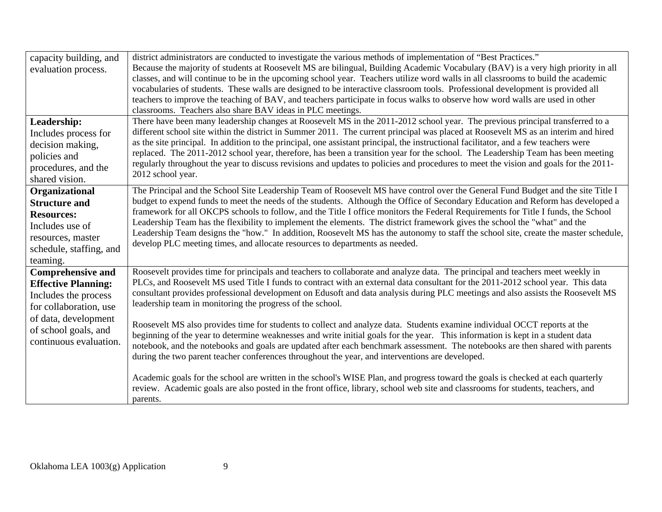| capacity building, and<br>evaluation process.          | district administrators are conducted to investigate the various methods of implementation of "Best Practices."<br>Because the majority of students at Roosevelt MS are bilingual, Building Academic Vocabulary (BAV) is a very high priority in all<br>classes, and will continue to be in the upcoming school year. Teachers utilize word walls in all classrooms to build the academic<br>vocabularies of students. These walls are designed to be interactive classroom tools. Professional development is provided all<br>teachers to improve the teaching of BAV, and teachers participate in focus walks to observe how word walls are used in other<br>classrooms. Teachers also share BAV ideas in PLC meetings. |
|--------------------------------------------------------|---------------------------------------------------------------------------------------------------------------------------------------------------------------------------------------------------------------------------------------------------------------------------------------------------------------------------------------------------------------------------------------------------------------------------------------------------------------------------------------------------------------------------------------------------------------------------------------------------------------------------------------------------------------------------------------------------------------------------|
| Leadership:                                            | There have been many leadership changes at Roosevelt MS in the 2011-2012 school year. The previous principal transferred to a<br>different school site within the district in Summer 2011. The current principal was placed at Roosevelt MS as an interim and hired                                                                                                                                                                                                                                                                                                                                                                                                                                                       |
| Includes process for<br>decision making,               | as the site principal. In addition to the principal, one assistant principal, the instructional facilitator, and a few teachers were                                                                                                                                                                                                                                                                                                                                                                                                                                                                                                                                                                                      |
| policies and                                           | replaced. The 2011-2012 school year, therefore, has been a transition year for the school. The Leadership Team has been meeting                                                                                                                                                                                                                                                                                                                                                                                                                                                                                                                                                                                           |
| procedures, and the                                    | regularly throughout the year to discuss revisions and updates to policies and procedures to meet the vision and goals for the 2011-                                                                                                                                                                                                                                                                                                                                                                                                                                                                                                                                                                                      |
| shared vision.                                         | 2012 school year.                                                                                                                                                                                                                                                                                                                                                                                                                                                                                                                                                                                                                                                                                                         |
| Organizational                                         | The Principal and the School Site Leadership Team of Roosevelt MS have control over the General Fund Budget and the site Title I                                                                                                                                                                                                                                                                                                                                                                                                                                                                                                                                                                                          |
| <b>Structure and</b>                                   | budget to expend funds to meet the needs of the students. Although the Office of Secondary Education and Reform has developed a                                                                                                                                                                                                                                                                                                                                                                                                                                                                                                                                                                                           |
| <b>Resources:</b>                                      | framework for all OKCPS schools to follow, and the Title I office monitors the Federal Requirements for Title I funds, the School                                                                                                                                                                                                                                                                                                                                                                                                                                                                                                                                                                                         |
| Includes use of                                        | Leadership Team has the flexibility to implement the elements. The district framework gives the school the "what" and the<br>Leadership Team designs the "how." In addition, Roosevelt MS has the autonomy to staff the school site, create the master schedule,                                                                                                                                                                                                                                                                                                                                                                                                                                                          |
| resources, master                                      | develop PLC meeting times, and allocate resources to departments as needed.                                                                                                                                                                                                                                                                                                                                                                                                                                                                                                                                                                                                                                               |
| schedule, staffing, and                                |                                                                                                                                                                                                                                                                                                                                                                                                                                                                                                                                                                                                                                                                                                                           |
| teaming.                                               | Roosevelt provides time for principals and teachers to collaborate and analyze data. The principal and teachers meet weekly in                                                                                                                                                                                                                                                                                                                                                                                                                                                                                                                                                                                            |
| <b>Comprehensive and</b><br><b>Effective Planning:</b> | PLCs, and Roosevelt MS used Title I funds to contract with an external data consultant for the 2011-2012 school year. This data                                                                                                                                                                                                                                                                                                                                                                                                                                                                                                                                                                                           |
| Includes the process                                   | consultant provides professional development on Edusoft and data analysis during PLC meetings and also assists the Roosevelt MS                                                                                                                                                                                                                                                                                                                                                                                                                                                                                                                                                                                           |
| for collaboration, use                                 | leadership team in monitoring the progress of the school.                                                                                                                                                                                                                                                                                                                                                                                                                                                                                                                                                                                                                                                                 |
| of data, development                                   |                                                                                                                                                                                                                                                                                                                                                                                                                                                                                                                                                                                                                                                                                                                           |
| of school goals, and                                   | Roosevelt MS also provides time for students to collect and analyze data. Students examine individual OCCT reports at the                                                                                                                                                                                                                                                                                                                                                                                                                                                                                                                                                                                                 |
| continuous evaluation.                                 | beginning of the year to determine weaknesses and write initial goals for the year. This information is kept in a student data<br>notebook, and the notebooks and goals are updated after each benchmark assessment. The notebooks are then shared with parents                                                                                                                                                                                                                                                                                                                                                                                                                                                           |
|                                                        | during the two parent teacher conferences throughout the year, and interventions are developed.                                                                                                                                                                                                                                                                                                                                                                                                                                                                                                                                                                                                                           |
|                                                        |                                                                                                                                                                                                                                                                                                                                                                                                                                                                                                                                                                                                                                                                                                                           |
|                                                        | Academic goals for the school are written in the school's WISE Plan, and progress toward the goals is checked at each quarterly                                                                                                                                                                                                                                                                                                                                                                                                                                                                                                                                                                                           |
|                                                        | review. Academic goals are also posted in the front office, library, school web site and classrooms for students, teachers, and                                                                                                                                                                                                                                                                                                                                                                                                                                                                                                                                                                                           |
|                                                        | parents.                                                                                                                                                                                                                                                                                                                                                                                                                                                                                                                                                                                                                                                                                                                  |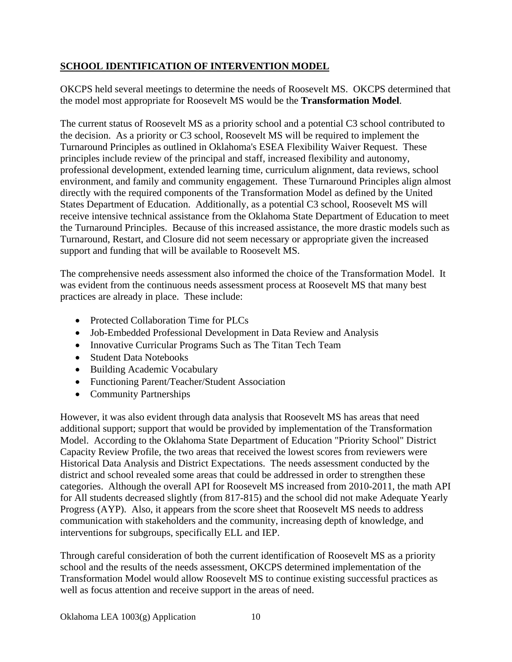# **SCHOOL IDENTIFICATION OF INTERVENTION MODEL**

OKCPS held several meetings to determine the needs of Roosevelt MS. OKCPS determined that the model most appropriate for Roosevelt MS would be the **Transformation Model**.

The current status of Roosevelt MS as a priority school and a potential C3 school contributed to the decision. As a priority or C3 school, Roosevelt MS will be required to implement the Turnaround Principles as outlined in Oklahoma's ESEA Flexibility Waiver Request. These principles include review of the principal and staff, increased flexibility and autonomy, professional development, extended learning time, curriculum alignment, data reviews, school environment, and family and community engagement. These Turnaround Principles align almost directly with the required components of the Transformation Model as defined by the United States Department of Education. Additionally, as a potential C3 school, Roosevelt MS will receive intensive technical assistance from the Oklahoma State Department of Education to meet the Turnaround Principles. Because of this increased assistance, the more drastic models such as Turnaround, Restart, and Closure did not seem necessary or appropriate given the increased support and funding that will be available to Roosevelt MS.

The comprehensive needs assessment also informed the choice of the Transformation Model. It was evident from the continuous needs assessment process at Roosevelt MS that many best practices are already in place. These include:

- Protected Collaboration Time for PLCs
- Job-Embedded Professional Development in Data Review and Analysis
- Innovative Curricular Programs Such as The Titan Tech Team
- Student Data Notebooks
- Building Academic Vocabulary
- Functioning Parent/Teacher/Student Association
- Community Partnerships

However, it was also evident through data analysis that Roosevelt MS has areas that need additional support; support that would be provided by implementation of the Transformation Model. According to the Oklahoma State Department of Education "Priority School" District Capacity Review Profile, the two areas that received the lowest scores from reviewers were Historical Data Analysis and District Expectations. The needs assessment conducted by the district and school revealed some areas that could be addressed in order to strengthen these categories. Although the overall API for Roosevelt MS increased from 2010-2011, the math API for All students decreased slightly (from 817-815) and the school did not make Adequate Yearly Progress (AYP). Also, it appears from the score sheet that Roosevelt MS needs to address communication with stakeholders and the community, increasing depth of knowledge, and interventions for subgroups, specifically ELL and IEP.

Through careful consideration of both the current identification of Roosevelt MS as a priority school and the results of the needs assessment, OKCPS determined implementation of the Transformation Model would allow Roosevelt MS to continue existing successful practices as well as focus attention and receive support in the areas of need.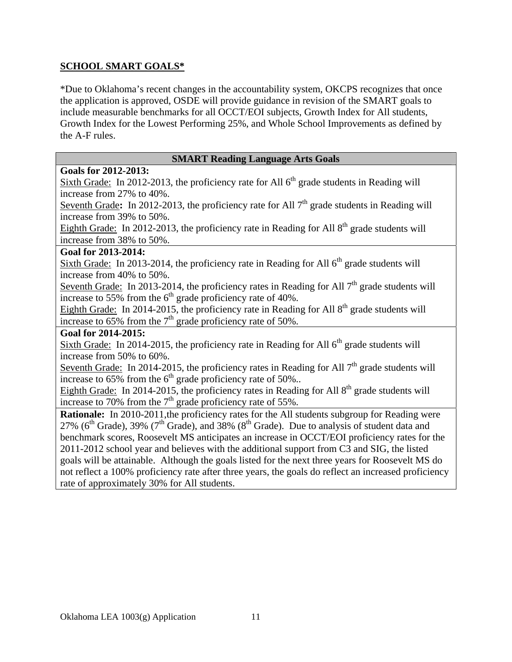# **SCHOOL SMART GOALS\***

\*Due to Oklahoma's recent changes in the accountability system, OKCPS recognizes that once the application is approved, OSDE will provide guidance in revision of the SMART goals to include measurable benchmarks for all OCCT/EOI subjects, Growth Index for All students, Growth Index for the Lowest Performing 25%, and Whole School Improvements as defined by the A-F rules.

# **SMART Reading Language Arts Goals**

### **Goals for 2012-2013:**

Sixth Grade: In 2012-2013, the proficiency rate for All  $6<sup>th</sup>$  grade students in Reading will increase from 27% to 40%.

Seventh Grade: In 2012-2013, the proficiency rate for All  $7<sup>th</sup>$  grade students in Reading will increase from 39% to 50%.

Eighth Grade: In 2012-2013, the proficiency rate in Reading for All  $8<sup>th</sup>$  grade students will increase from 38% to 50%.

## **Goal for 2013-2014:**

Sixth Grade: In 2013-2014, the proficiency rate in Reading for All  $6<sup>th</sup>$  grade students will increase from 40% to 50%.

Seventh Grade: In 2013-2014, the proficiency rates in Reading for All  $7<sup>th</sup>$  grade students will increase to 55% from the  $6<sup>th</sup>$  grade proficiency rate of 40%.

Eighth Grade: In 2014-2015, the proficiency rate in Reading for All  $8<sup>th</sup>$  grade students will increase to 65% from the  $7<sup>th</sup>$  grade proficiency rate of 50%.

#### **Goal for 2014-2015:**

Sixth Grade: In 2014-2015, the proficiency rate in Reading for All  $6<sup>th</sup>$  grade students will increase from 50% to 60%.

Seventh Grade: In 2014-2015, the proficiency rates in Reading for All  $7<sup>th</sup>$  grade students will increase to  $65\%$  from the  $6<sup>th</sup>$  grade proficiency rate of 50%..

Eighth Grade: In 2014-2015, the proficiency rates in Reading for All  $8<sup>th</sup>$  grade students will increase to 70% from the  $7<sup>th</sup>$  grade proficiency rate of 55%.

**Rationale:** In 2010-2011, the proficiency rates for the All students subgroup for Reading were 27% ( $6<sup>th</sup>$  Grade), 39% ( $7<sup>th</sup>$  Grade), and 38% ( $8<sup>th</sup>$  Grade). Due to analysis of student data and benchmark scores, Roosevelt MS anticipates an increase in OCCT/EOI proficiency rates for the 2011-2012 school year and believes with the additional support from C3 and SIG, the listed goals will be attainable. Although the goals listed for the next three years for Roosevelt MS do not reflect a 100% proficiency rate after three years, the goals do reflect an increased proficiency rate of approximately 30% for All students.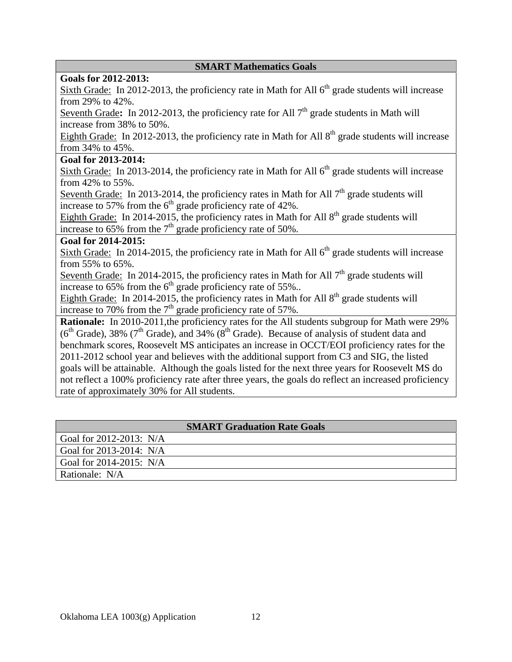#### **SMART Mathematics Goals**

### **Goals for 2012-2013:**

Sixth Grade: In 2012-2013, the proficiency rate in Math for All  $6<sup>th</sup>$  grade students will increase from 29% to 42%.

Seventh Grade: In 2012-2013, the proficiency rate for All 7<sup>th</sup> grade students in Math will increase from 38% to 50%.

Eighth Grade: In 2012-2013, the proficiency rate in Math for All  $8<sup>th</sup>$  grade students will increase from 34% to 45%.

#### **Goal for 2013-2014:**

Sixth Grade: In 2013-2014, the proficiency rate in Math for All 6<sup>th</sup> grade students will increase from 42% to 55%.

Seventh Grade: In 2013-2014, the proficiency rates in Math for All  $7<sup>th</sup>$  grade students will increase to 57% from the  $6<sup>th</sup>$  grade proficiency rate of 42%.

Eighth Grade: In 2014-2015, the proficiency rates in Math for All  $8<sup>th</sup>$  grade students will increase to  $65\%$  from the  $7<sup>th</sup>$  grade proficiency rate of 50%.

#### **Goal for 2014-2015:**

Sixth Grade: In 2014-2015, the proficiency rate in Math for All  $6<sup>th</sup>$  grade students will increase from 55% to 65%.

Seventh Grade: In 2014-2015, the proficiency rates in Math for All  $7<sup>th</sup>$  grade students will increase to  $65\%$  from the  $6<sup>th</sup>$  grade proficiency rate of 55%..

Eighth Grade: In 2014-2015, the proficiency rates in Math for All  $8<sup>th</sup>$  grade students will increase to 70% from the  $7<sup>th</sup>$  grade proficiency rate of 57%.

**Rationale:** In 2010-2011, the proficiency rates for the All students subgroup for Math were 29%  $(6<sup>th</sup> Grade)$ , 38% (7<sup>th</sup> Grade), and 34% (8<sup>th</sup> Grade). Because of analysis of student data and benchmark scores, Roosevelt MS anticipates an increase in OCCT/EOI proficiency rates for the 2011-2012 school year and believes with the additional support from C3 and SIG, the listed goals will be attainable. Although the goals listed for the next three years for Roosevelt MS do not reflect a 100% proficiency rate after three years, the goals do reflect an increased proficiency rate of approximately 30% for All students.

| <b>SMART Graduation Rate Goals</b> |  |  |
|------------------------------------|--|--|
| Goal for $2012 - 2013$ : N/A       |  |  |
| Goal for $2013-2014$ : N/A         |  |  |
| Goal for $2014 - 2015$ : N/A       |  |  |
| Rationale: N/A                     |  |  |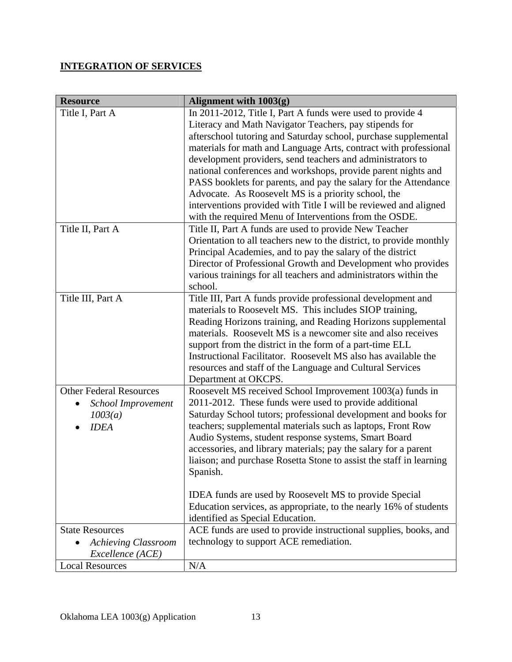# **INTEGRATION OF SERVICES**

| <b>Resource</b>                | Alignment with 1003(g)                                              |
|--------------------------------|---------------------------------------------------------------------|
| Title I, Part A                | In 2011-2012, Title I, Part A funds were used to provide 4          |
|                                | Literacy and Math Navigator Teachers, pay stipends for              |
|                                | afterschool tutoring and Saturday school, purchase supplemental     |
|                                | materials for math and Language Arts, contract with professional    |
|                                | development providers, send teachers and administrators to          |
|                                | national conferences and workshops, provide parent nights and       |
|                                | PASS booklets for parents, and pay the salary for the Attendance    |
|                                | Advocate. As Roosevelt MS is a priority school, the                 |
|                                | interventions provided with Title I will be reviewed and aligned    |
|                                | with the required Menu of Interventions from the OSDE.              |
| Title II, Part A               | Title II, Part A funds are used to provide New Teacher              |
|                                | Orientation to all teachers new to the district, to provide monthly |
|                                | Principal Academies, and to pay the salary of the district          |
|                                | Director of Professional Growth and Development who provides        |
|                                | various trainings for all teachers and administrators within the    |
|                                | school.                                                             |
| Title III, Part A              | Title III, Part A funds provide professional development and        |
|                                | materials to Roosevelt MS. This includes SIOP training,             |
|                                | Reading Horizons training, and Reading Horizons supplemental        |
|                                | materials. Roosevelt MS is a newcomer site and also receives        |
|                                | support from the district in the form of a part-time ELL            |
|                                | Instructional Facilitator. Roosevelt MS also has available the      |
|                                | resources and staff of the Language and Cultural Services           |
|                                | Department at OKCPS.                                                |
| <b>Other Federal Resources</b> | Roosevelt MS received School Improvement 1003(a) funds in           |
| School Improvement             | 2011-2012. These funds were used to provide additional              |
| 1003(a)                        | Saturday School tutors; professional development and books for      |
| <b>IDEA</b>                    | teachers; supplemental materials such as laptops, Front Row         |
|                                | Audio Systems, student response systems, Smart Board                |
|                                | accessories, and library materials; pay the salary for a parent     |
|                                | liaison; and purchase Rosetta Stone to assist the staff in learning |
|                                | Spanish.                                                            |
|                                | IDEA funds are used by Roosevelt MS to provide Special              |
|                                | Education services, as appropriate, to the nearly 16% of students   |
|                                | identified as Special Education.                                    |
| <b>State Resources</b>         | ACE funds are used to provide instructional supplies, books, and    |
| <b>Achieving Classroom</b>     | technology to support ACE remediation.                              |
| Excellence (ACE)               |                                                                     |
| <b>Local Resources</b>         | N/A                                                                 |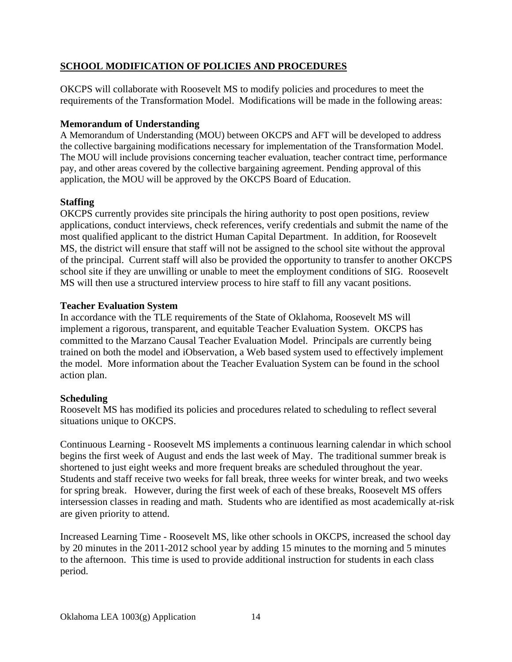# **SCHOOL MODIFICATION OF POLICIES AND PROCEDURES**

OKCPS will collaborate with Roosevelt MS to modify policies and procedures to meet the requirements of the Transformation Model. Modifications will be made in the following areas:

## **Memorandum of Understanding**

A Memorandum of Understanding (MOU) between OKCPS and AFT will be developed to address the collective bargaining modifications necessary for implementation of the Transformation Model. The MOU will include provisions concerning teacher evaluation, teacher contract time, performance pay, and other areas covered by the collective bargaining agreement. Pending approval of this application, the MOU will be approved by the OKCPS Board of Education.

## **Staffing**

OKCPS currently provides site principals the hiring authority to post open positions, review applications, conduct interviews, check references, verify credentials and submit the name of the most qualified applicant to the district Human Capital Department. In addition, for Roosevelt MS, the district will ensure that staff will not be assigned to the school site without the approval of the principal. Current staff will also be provided the opportunity to transfer to another OKCPS school site if they are unwilling or unable to meet the employment conditions of SIG. Roosevelt MS will then use a structured interview process to hire staff to fill any vacant positions.

## **Teacher Evaluation System**

In accordance with the TLE requirements of the State of Oklahoma, Roosevelt MS will implement a rigorous, transparent, and equitable Teacher Evaluation System. OKCPS has committed to the Marzano Causal Teacher Evaluation Model. Principals are currently being trained on both the model and iObservation, a Web based system used to effectively implement the model. More information about the Teacher Evaluation System can be found in the school action plan.

# **Scheduling**

Roosevelt MS has modified its policies and procedures related to scheduling to reflect several situations unique to OKCPS.

Continuous Learning - Roosevelt MS implements a continuous learning calendar in which school begins the first week of August and ends the last week of May. The traditional summer break is shortened to just eight weeks and more frequent breaks are scheduled throughout the year. Students and staff receive two weeks for fall break, three weeks for winter break, and two weeks for spring break. However, during the first week of each of these breaks, Roosevelt MS offers intersession classes in reading and math. Students who are identified as most academically at-risk are given priority to attend.

Increased Learning Time - Roosevelt MS, like other schools in OKCPS, increased the school day by 20 minutes in the 2011-2012 school year by adding 15 minutes to the morning and 5 minutes to the afternoon. This time is used to provide additional instruction for students in each class period.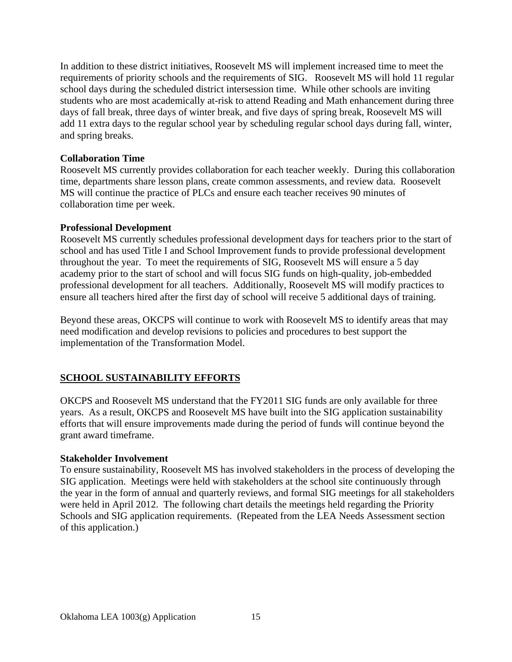In addition to these district initiatives, Roosevelt MS will implement increased time to meet the requirements of priority schools and the requirements of SIG. Roosevelt MS will hold 11 regular school days during the scheduled district intersession time. While other schools are inviting students who are most academically at-risk to attend Reading and Math enhancement during three days of fall break, three days of winter break, and five days of spring break, Roosevelt MS will add 11 extra days to the regular school year by scheduling regular school days during fall, winter, and spring breaks.

## **Collaboration Time**

Roosevelt MS currently provides collaboration for each teacher weekly. During this collaboration time, departments share lesson plans, create common assessments, and review data. Roosevelt MS will continue the practice of PLCs and ensure each teacher receives 90 minutes of collaboration time per week.

## **Professional Development**

Roosevelt MS currently schedules professional development days for teachers prior to the start of school and has used Title I and School Improvement funds to provide professional development throughout the year. To meet the requirements of SIG, Roosevelt MS will ensure a 5 day academy prior to the start of school and will focus SIG funds on high-quality, job-embedded professional development for all teachers. Additionally, Roosevelt MS will modify practices to ensure all teachers hired after the first day of school will receive 5 additional days of training.

Beyond these areas, OKCPS will continue to work with Roosevelt MS to identify areas that may need modification and develop revisions to policies and procedures to best support the implementation of the Transformation Model.

# **SCHOOL SUSTAINABILITY EFFORTS**

OKCPS and Roosevelt MS understand that the FY2011 SIG funds are only available for three years. As a result, OKCPS and Roosevelt MS have built into the SIG application sustainability efforts that will ensure improvements made during the period of funds will continue beyond the grant award timeframe.

#### **Stakeholder Involvement**

To ensure sustainability, Roosevelt MS has involved stakeholders in the process of developing the SIG application. Meetings were held with stakeholders at the school site continuously through the year in the form of annual and quarterly reviews, and formal SIG meetings for all stakeholders were held in April 2012. The following chart details the meetings held regarding the Priority Schools and SIG application requirements. (Repeated from the LEA Needs Assessment section of this application.)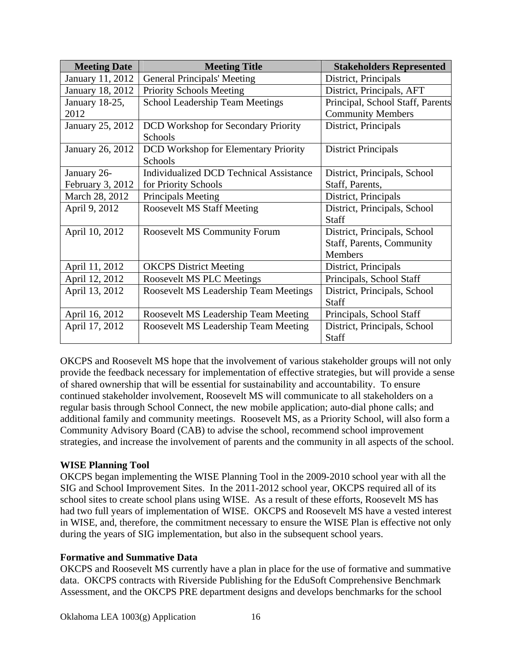| <b>Meeting Date</b> | <b>Meeting Title</b>                           | <b>Stakeholders Represented</b>  |
|---------------------|------------------------------------------------|----------------------------------|
| January 11, 2012    | <b>General Principals' Meeting</b>             | District, Principals             |
| January 18, 2012    | <b>Priority Schools Meeting</b>                | District, Principals, AFT        |
| January 18-25,      | <b>School Leadership Team Meetings</b>         | Principal, School Staff, Parents |
| 2012                |                                                | <b>Community Members</b>         |
| January 25, 2012    | <b>DCD</b> Workshop for Secondary Priority     | District, Principals             |
|                     | Schools                                        |                                  |
| January 26, 2012    | <b>DCD</b> Workshop for Elementary Priority    | <b>District Principals</b>       |
|                     | Schools                                        |                                  |
| January 26-         | <b>Individualized DCD Technical Assistance</b> | District, Principals, School     |
| February 3, 2012    | for Priority Schools                           | Staff, Parents,                  |
| March 28, 2012      | Principals Meeting                             | District, Principals             |
| April 9, 2012       | <b>Roosevelt MS Staff Meeting</b>              | District, Principals, School     |
|                     |                                                | <b>Staff</b>                     |
| April 10, 2012      | <b>Roosevelt MS Community Forum</b>            | District, Principals, School     |
|                     |                                                | <b>Staff, Parents, Community</b> |
|                     |                                                | <b>Members</b>                   |
| April 11, 2012      | <b>OKCPS</b> District Meeting                  | District, Principals             |
| April 12, 2012      | Roosevelt MS PLC Meetings                      | Principals, School Staff         |
| April 13, 2012      | Roosevelt MS Leadership Team Meetings          | District, Principals, School     |
|                     |                                                | <b>Staff</b>                     |
| April 16, 2012      | Roosevelt MS Leadership Team Meeting           | Principals, School Staff         |
| April 17, 2012      | Roosevelt MS Leadership Team Meeting           | District, Principals, School     |
|                     |                                                | <b>Staff</b>                     |

OKCPS and Roosevelt MS hope that the involvement of various stakeholder groups will not only provide the feedback necessary for implementation of effective strategies, but will provide a sense of shared ownership that will be essential for sustainability and accountability. To ensure continued stakeholder involvement, Roosevelt MS will communicate to all stakeholders on a regular basis through School Connect, the new mobile application; auto-dial phone calls; and additional family and community meetings. Roosevelt MS, as a Priority School, will also form a Community Advisory Board (CAB) to advise the school, recommend school improvement strategies, and increase the involvement of parents and the community in all aspects of the school.

# **WISE Planning Tool**

OKCPS began implementing the WISE Planning Tool in the 2009-2010 school year with all the SIG and School Improvement Sites. In the 2011-2012 school year, OKCPS required all of its school sites to create school plans using WISE. As a result of these efforts, Roosevelt MS has had two full years of implementation of WISE. OKCPS and Roosevelt MS have a vested interest in WISE, and, therefore, the commitment necessary to ensure the WISE Plan is effective not only during the years of SIG implementation, but also in the subsequent school years.

# **Formative and Summative Data**

OKCPS and Roosevelt MS currently have a plan in place for the use of formative and summative data. OKCPS contracts with Riverside Publishing for the EduSoft Comprehensive Benchmark Assessment, and the OKCPS PRE department designs and develops benchmarks for the school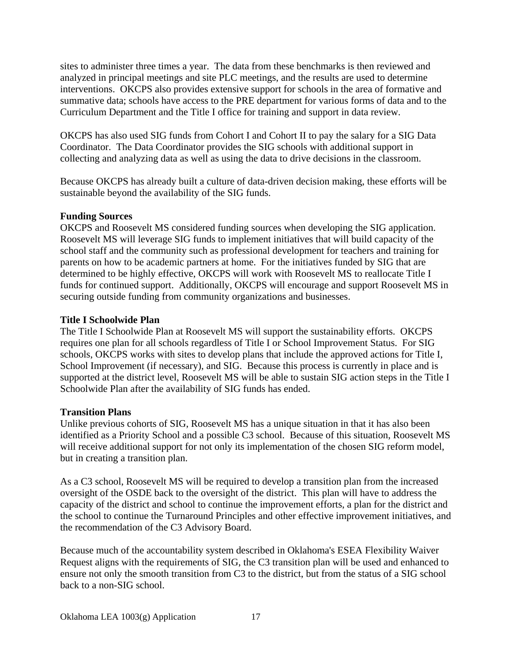sites to administer three times a year. The data from these benchmarks is then reviewed and analyzed in principal meetings and site PLC meetings, and the results are used to determine interventions. OKCPS also provides extensive support for schools in the area of formative and summative data; schools have access to the PRE department for various forms of data and to the Curriculum Department and the Title I office for training and support in data review.

OKCPS has also used SIG funds from Cohort I and Cohort II to pay the salary for a SIG Data Coordinator. The Data Coordinator provides the SIG schools with additional support in collecting and analyzing data as well as using the data to drive decisions in the classroom.

Because OKCPS has already built a culture of data-driven decision making, these efforts will be sustainable beyond the availability of the SIG funds.

# **Funding Sources**

OKCPS and Roosevelt MS considered funding sources when developing the SIG application. Roosevelt MS will leverage SIG funds to implement initiatives that will build capacity of the school staff and the community such as professional development for teachers and training for parents on how to be academic partners at home. For the initiatives funded by SIG that are determined to be highly effective, OKCPS will work with Roosevelt MS to reallocate Title I funds for continued support. Additionally, OKCPS will encourage and support Roosevelt MS in securing outside funding from community organizations and businesses.

## **Title I Schoolwide Plan**

The Title I Schoolwide Plan at Roosevelt MS will support the sustainability efforts. OKCPS requires one plan for all schools regardless of Title I or School Improvement Status. For SIG schools, OKCPS works with sites to develop plans that include the approved actions for Title I, School Improvement (if necessary), and SIG. Because this process is currently in place and is supported at the district level, Roosevelt MS will be able to sustain SIG action steps in the Title I Schoolwide Plan after the availability of SIG funds has ended.

# **Transition Plans**

Unlike previous cohorts of SIG, Roosevelt MS has a unique situation in that it has also been identified as a Priority School and a possible C3 school. Because of this situation, Roosevelt MS will receive additional support for not only its implementation of the chosen SIG reform model, but in creating a transition plan.

As a C3 school, Roosevelt MS will be required to develop a transition plan from the increased oversight of the OSDE back to the oversight of the district. This plan will have to address the capacity of the district and school to continue the improvement efforts, a plan for the district and the school to continue the Turnaround Principles and other effective improvement initiatives, and the recommendation of the C3 Advisory Board.

Because much of the accountability system described in Oklahoma's ESEA Flexibility Waiver Request aligns with the requirements of SIG, the C3 transition plan will be used and enhanced to ensure not only the smooth transition from C3 to the district, but from the status of a SIG school back to a non-SIG school.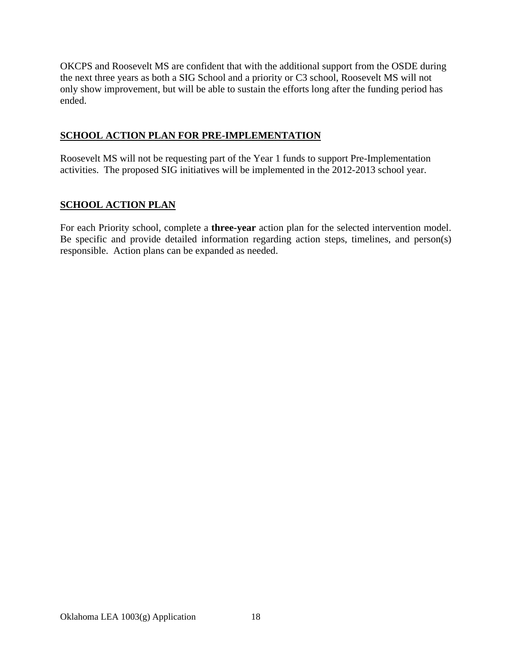OKCPS and Roosevelt MS are confident that with the additional support from the OSDE during the next three years as both a SIG School and a priority or C3 school, Roosevelt MS will not only show improvement, but will be able to sustain the efforts long after the funding period has ended.

# **SCHOOL ACTION PLAN FOR PRE-IMPLEMENTATION**

Roosevelt MS will not be requesting part of the Year 1 funds to support Pre-Implementation activities. The proposed SIG initiatives will be implemented in the 2012-2013 school year.

# **SCHOOL ACTION PLAN**

For each Priority school, complete a **three-year** action plan for the selected intervention model. Be specific and provide detailed information regarding action steps, timelines, and person(s) responsible. Action plans can be expanded as needed.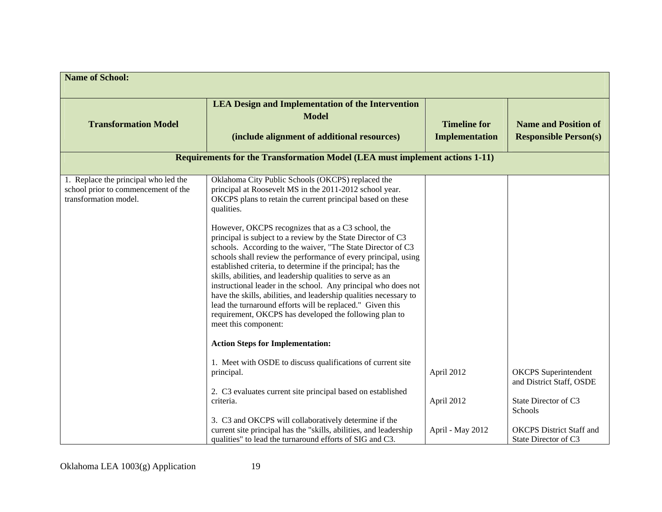| <b>Name of School:</b>                                                                               |                                                                                                                                                                                                                                                                                                                                                                                                                                                                                                                                                                                                                                                                         |                                              |                                                             |
|------------------------------------------------------------------------------------------------------|-------------------------------------------------------------------------------------------------------------------------------------------------------------------------------------------------------------------------------------------------------------------------------------------------------------------------------------------------------------------------------------------------------------------------------------------------------------------------------------------------------------------------------------------------------------------------------------------------------------------------------------------------------------------------|----------------------------------------------|-------------------------------------------------------------|
| <b>Transformation Model</b>                                                                          | <b>LEA Design and Implementation of the Intervention</b><br><b>Model</b><br>(include alignment of additional resources)                                                                                                                                                                                                                                                                                                                                                                                                                                                                                                                                                 | <b>Timeline for</b><br><b>Implementation</b> | <b>Name and Position of</b><br><b>Responsible Person(s)</b> |
|                                                                                                      | <b>Requirements for the Transformation Model (LEA must implement actions 1-11)</b>                                                                                                                                                                                                                                                                                                                                                                                                                                                                                                                                                                                      |                                              |                                                             |
| 1. Replace the principal who led the<br>school prior to commencement of the<br>transformation model. | Oklahoma City Public Schools (OKCPS) replaced the<br>principal at Roosevelt MS in the 2011-2012 school year.<br>OKCPS plans to retain the current principal based on these<br>qualities.                                                                                                                                                                                                                                                                                                                                                                                                                                                                                |                                              |                                                             |
|                                                                                                      | However, OKCPS recognizes that as a C3 school, the<br>principal is subject to a review by the State Director of C3<br>schools. According to the waiver, "The State Director of C3<br>schools shall review the performance of every principal, using<br>established criteria, to determine if the principal; has the<br>skills, abilities, and leadership qualities to serve as an<br>instructional leader in the school. Any principal who does not<br>have the skills, abilities, and leadership qualities necessary to<br>lead the turnaround efforts will be replaced." Given this<br>requirement, OKCPS has developed the following plan to<br>meet this component: |                                              |                                                             |
|                                                                                                      | <b>Action Steps for Implementation:</b>                                                                                                                                                                                                                                                                                                                                                                                                                                                                                                                                                                                                                                 |                                              |                                                             |
|                                                                                                      | 1. Meet with OSDE to discuss qualifications of current site<br>principal.                                                                                                                                                                                                                                                                                                                                                                                                                                                                                                                                                                                               | April 2012                                   | <b>OKCPS</b> Superintendent<br>and District Staff, OSDE     |
|                                                                                                      | 2. C3 evaluates current site principal based on established<br>criteria.<br>3. C3 and OKCPS will collaboratively determine if the                                                                                                                                                                                                                                                                                                                                                                                                                                                                                                                                       | April 2012                                   | State Director of C3<br>Schools                             |
|                                                                                                      | current site principal has the "skills, abilities, and leadership<br>qualities" to lead the turnaround efforts of SIG and C3.                                                                                                                                                                                                                                                                                                                                                                                                                                                                                                                                           | April - May 2012                             | <b>OKCPS</b> District Staff and<br>State Director of C3     |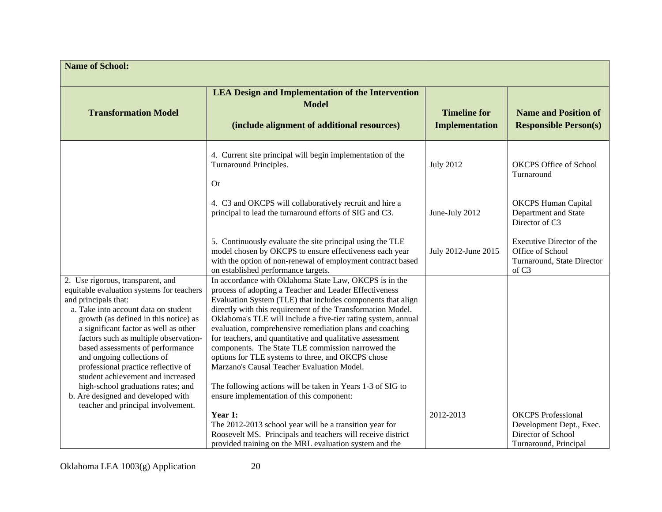| <b>Name of School:</b>                                                                                                                                                                                                                                                                                                                                                                                                                                                                                                                    |                                                                                                                                                                                                                                                                                                                                                                                                                                                                                                                                                                                                                                                                                                            |                                              |                                                                                                      |
|-------------------------------------------------------------------------------------------------------------------------------------------------------------------------------------------------------------------------------------------------------------------------------------------------------------------------------------------------------------------------------------------------------------------------------------------------------------------------------------------------------------------------------------------|------------------------------------------------------------------------------------------------------------------------------------------------------------------------------------------------------------------------------------------------------------------------------------------------------------------------------------------------------------------------------------------------------------------------------------------------------------------------------------------------------------------------------------------------------------------------------------------------------------------------------------------------------------------------------------------------------------|----------------------------------------------|------------------------------------------------------------------------------------------------------|
| <b>Transformation Model</b>                                                                                                                                                                                                                                                                                                                                                                                                                                                                                                               | <b>LEA Design and Implementation of the Intervention</b><br><b>Model</b><br>(include alignment of additional resources)                                                                                                                                                                                                                                                                                                                                                                                                                                                                                                                                                                                    | <b>Timeline for</b><br><b>Implementation</b> | <b>Name and Position of</b><br><b>Responsible Person(s)</b>                                          |
|                                                                                                                                                                                                                                                                                                                                                                                                                                                                                                                                           | 4. Current site principal will begin implementation of the<br>Turnaround Principles.<br>Or                                                                                                                                                                                                                                                                                                                                                                                                                                                                                                                                                                                                                 | <b>July 2012</b>                             | <b>OKCPS Office of School</b><br>Turnaround                                                          |
|                                                                                                                                                                                                                                                                                                                                                                                                                                                                                                                                           | 4. C3 and OKCPS will collaboratively recruit and hire a<br>principal to lead the turnaround efforts of SIG and C3.                                                                                                                                                                                                                                                                                                                                                                                                                                                                                                                                                                                         | June-July 2012                               | <b>OKCPS Human Capital</b><br>Department and State<br>Director of C3                                 |
|                                                                                                                                                                                                                                                                                                                                                                                                                                                                                                                                           | 5. Continuously evaluate the site principal using the TLE<br>model chosen by OKCPS to ensure effectiveness each year<br>with the option of non-renewal of employment contract based<br>on established performance targets.                                                                                                                                                                                                                                                                                                                                                                                                                                                                                 | July 2012-June 2015                          | Executive Director of the<br>Office of School<br>Turnaround, State Director<br>of C <sub>3</sub>     |
| 2. Use rigorous, transparent, and<br>equitable evaluation systems for teachers<br>and principals that:<br>a. Take into account data on student<br>growth (as defined in this notice) as<br>a significant factor as well as other<br>factors such as multiple observation-<br>based assessments of performance<br>and ongoing collections of<br>professional practice reflective of<br>student achievement and increased<br>high-school graduations rates; and<br>b. Are designed and developed with<br>teacher and principal involvement. | In accordance with Oklahoma State Law, OKCPS is in the<br>process of adopting a Teacher and Leader Effectiveness<br>Evaluation System (TLE) that includes components that align<br>directly with this requirement of the Transformation Model.<br>Oklahoma's TLE will include a five-tier rating system, annual<br>evaluation, comprehensive remediation plans and coaching<br>for teachers, and quantitative and qualitative assessment<br>components. The State TLE commission narrowed the<br>options for TLE systems to three, and OKCPS chose<br>Marzano's Causal Teacher Evaluation Model.<br>The following actions will be taken in Years 1-3 of SIG to<br>ensure implementation of this component: |                                              |                                                                                                      |
|                                                                                                                                                                                                                                                                                                                                                                                                                                                                                                                                           | Year 1:<br>The 2012-2013 school year will be a transition year for<br>Roosevelt MS. Principals and teachers will receive district<br>provided training on the MRL evaluation system and the                                                                                                                                                                                                                                                                                                                                                                                                                                                                                                                | 2012-2013                                    | <b>OKCPS</b> Professional<br>Development Dept., Exec.<br>Director of School<br>Turnaround, Principal |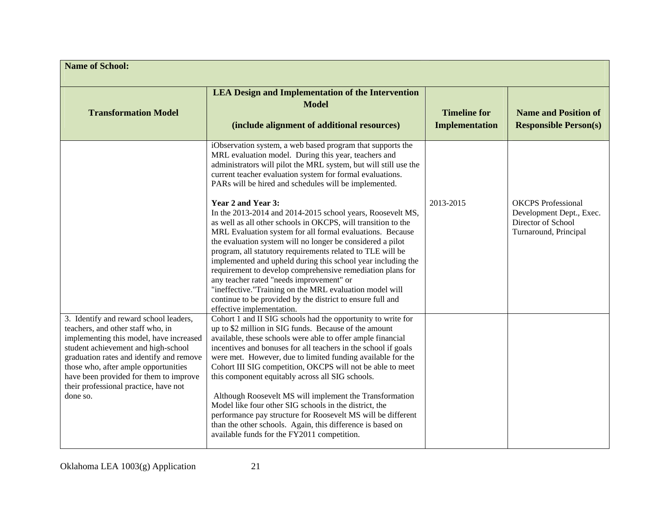| <b>Name of School:</b>                                                                                                                                                                                                                                                                                                                           |                                                                                                                                                                                                                                                                                                                                                                                                                                                                                                                                                                                                                                                                                                                                                                                                                                                                                                                                                                                            |                                              |                                                                                                      |
|--------------------------------------------------------------------------------------------------------------------------------------------------------------------------------------------------------------------------------------------------------------------------------------------------------------------------------------------------|--------------------------------------------------------------------------------------------------------------------------------------------------------------------------------------------------------------------------------------------------------------------------------------------------------------------------------------------------------------------------------------------------------------------------------------------------------------------------------------------------------------------------------------------------------------------------------------------------------------------------------------------------------------------------------------------------------------------------------------------------------------------------------------------------------------------------------------------------------------------------------------------------------------------------------------------------------------------------------------------|----------------------------------------------|------------------------------------------------------------------------------------------------------|
| <b>Transformation Model</b>                                                                                                                                                                                                                                                                                                                      | <b>LEA Design and Implementation of the Intervention</b><br><b>Model</b><br>(include alignment of additional resources)                                                                                                                                                                                                                                                                                                                                                                                                                                                                                                                                                                                                                                                                                                                                                                                                                                                                    | <b>Timeline for</b><br><b>Implementation</b> | <b>Name and Position of</b><br><b>Responsible Person(s)</b>                                          |
|                                                                                                                                                                                                                                                                                                                                                  | iObservation system, a web based program that supports the<br>MRL evaluation model. During this year, teachers and<br>administrators will pilot the MRL system, but will still use the<br>current teacher evaluation system for formal evaluations.<br>PARs will be hired and schedules will be implemented.<br>Year 2 and Year 3:<br>In the 2013-2014 and 2014-2015 school years, Roosevelt MS,<br>as well as all other schools in OKCPS, will transition to the<br>MRL Evaluation system for all formal evaluations. Because<br>the evaluation system will no longer be considered a pilot<br>program, all statutory requirements related to TLE will be<br>implemented and upheld during this school year including the<br>requirement to develop comprehensive remediation plans for<br>any teacher rated "needs improvement" or<br>"ineffective."Training on the MRL evaluation model will<br>continue to be provided by the district to ensure full and<br>effective implementation. | 2013-2015                                    | <b>OKCPS</b> Professional<br>Development Dept., Exec.<br>Director of School<br>Turnaround, Principal |
| 3. Identify and reward school leaders,<br>teachers, and other staff who, in<br>implementing this model, have increased<br>student achievement and high-school<br>graduation rates and identify and remove<br>those who, after ample opportunities<br>have been provided for them to improve<br>their professional practice, have not<br>done so. | Cohort 1 and II SIG schools had the opportunity to write for<br>up to \$2 million in SIG funds. Because of the amount<br>available, these schools were able to offer ample financial<br>incentives and bonuses for all teachers in the school if goals<br>were met. However, due to limited funding available for the<br>Cohort III SIG competition, OKCPS will not be able to meet<br>this component equitably across all SIG schools.<br>Although Roosevelt MS will implement the Transformation<br>Model like four other SIG schools in the district, the<br>performance pay structure for Roosevelt MS will be different<br>than the other schools. Again, this difference is based on<br>available funds for the FY2011 competition.                                                                                                                                                                                                                                                  |                                              |                                                                                                      |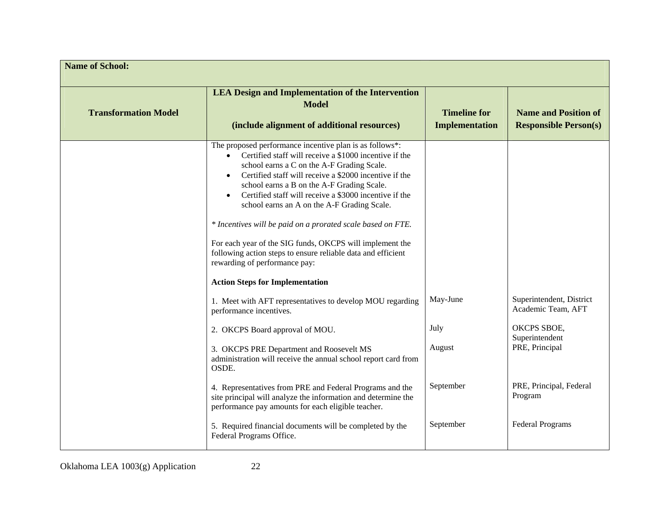| <b>Name of School:</b>      |                                                                                                                                                                                                                                                                                                                                                                                                                                                                                                                                                                                                                                                                                  |                                              |                                                             |
|-----------------------------|----------------------------------------------------------------------------------------------------------------------------------------------------------------------------------------------------------------------------------------------------------------------------------------------------------------------------------------------------------------------------------------------------------------------------------------------------------------------------------------------------------------------------------------------------------------------------------------------------------------------------------------------------------------------------------|----------------------------------------------|-------------------------------------------------------------|
| <b>Transformation Model</b> | <b>LEA Design and Implementation of the Intervention</b><br><b>Model</b><br>(include alignment of additional resources)                                                                                                                                                                                                                                                                                                                                                                                                                                                                                                                                                          | <b>Timeline for</b><br><b>Implementation</b> | <b>Name and Position of</b><br><b>Responsible Person(s)</b> |
|                             | The proposed performance incentive plan is as follows*:<br>Certified staff will receive a \$1000 incentive if the<br>school earns a C on the A-F Grading Scale.<br>Certified staff will receive a \$2000 incentive if the<br>$\bullet$<br>school earns a B on the A-F Grading Scale.<br>Certified staff will receive a \$3000 incentive if the<br>$\bullet$<br>school earns an A on the A-F Grading Scale.<br>* Incentives will be paid on a prorated scale based on FTE.<br>For each year of the SIG funds, OKCPS will implement the<br>following action steps to ensure reliable data and efficient<br>rewarding of performance pay:<br><b>Action Steps for Implementation</b> |                                              |                                                             |
|                             | 1. Meet with AFT representatives to develop MOU regarding<br>performance incentives.                                                                                                                                                                                                                                                                                                                                                                                                                                                                                                                                                                                             | May-June                                     | Superintendent, District<br>Academic Team, AFT              |
|                             | 2. OKCPS Board approval of MOU.                                                                                                                                                                                                                                                                                                                                                                                                                                                                                                                                                                                                                                                  | July                                         | OKCPS SBOE,<br>Superintendent                               |
|                             | 3. OKCPS PRE Department and Roosevelt MS<br>administration will receive the annual school report card from<br>OSDE.                                                                                                                                                                                                                                                                                                                                                                                                                                                                                                                                                              | August                                       | PRE, Principal                                              |
|                             | 4. Representatives from PRE and Federal Programs and the<br>site principal will analyze the information and determine the<br>performance pay amounts for each eligible teacher.                                                                                                                                                                                                                                                                                                                                                                                                                                                                                                  | September                                    | PRE, Principal, Federal<br>Program                          |
|                             | 5. Required financial documents will be completed by the<br>Federal Programs Office.                                                                                                                                                                                                                                                                                                                                                                                                                                                                                                                                                                                             | September                                    | <b>Federal Programs</b>                                     |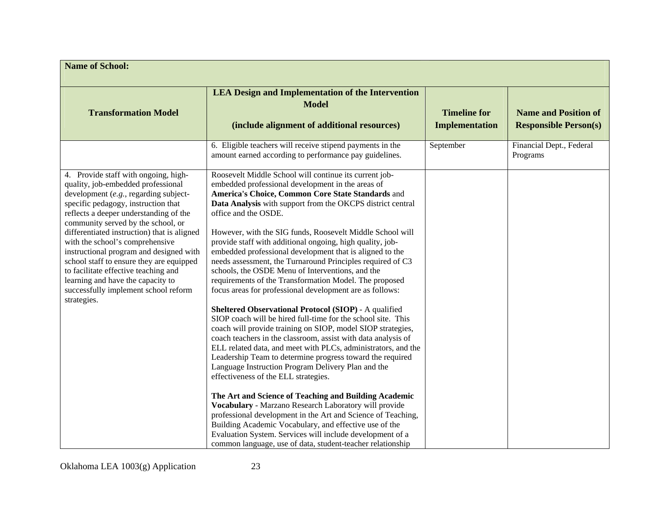| <b>Name of School:</b>                                                                                                                                                                                                                                                                                                                                                                                                                                                                                                                                  |                                                                                                                                                                                                                                                                                                                                                                                                                                                                                                                                                                                                                                                                                                                                                                                                                                                                                                                                                                                                                                                                                                                                                                                                                                                                                                                                                                                                                                                                                                                                                  |                                       |                                                             |
|---------------------------------------------------------------------------------------------------------------------------------------------------------------------------------------------------------------------------------------------------------------------------------------------------------------------------------------------------------------------------------------------------------------------------------------------------------------------------------------------------------------------------------------------------------|--------------------------------------------------------------------------------------------------------------------------------------------------------------------------------------------------------------------------------------------------------------------------------------------------------------------------------------------------------------------------------------------------------------------------------------------------------------------------------------------------------------------------------------------------------------------------------------------------------------------------------------------------------------------------------------------------------------------------------------------------------------------------------------------------------------------------------------------------------------------------------------------------------------------------------------------------------------------------------------------------------------------------------------------------------------------------------------------------------------------------------------------------------------------------------------------------------------------------------------------------------------------------------------------------------------------------------------------------------------------------------------------------------------------------------------------------------------------------------------------------------------------------------------------------|---------------------------------------|-------------------------------------------------------------|
| <b>Transformation Model</b>                                                                                                                                                                                                                                                                                                                                                                                                                                                                                                                             | <b>LEA Design and Implementation of the Intervention</b><br><b>Model</b><br>(include alignment of additional resources)                                                                                                                                                                                                                                                                                                                                                                                                                                                                                                                                                                                                                                                                                                                                                                                                                                                                                                                                                                                                                                                                                                                                                                                                                                                                                                                                                                                                                          | <b>Timeline for</b><br>Implementation | <b>Name and Position of</b><br><b>Responsible Person(s)</b> |
|                                                                                                                                                                                                                                                                                                                                                                                                                                                                                                                                                         | 6. Eligible teachers will receive stipend payments in the<br>amount earned according to performance pay guidelines.                                                                                                                                                                                                                                                                                                                                                                                                                                                                                                                                                                                                                                                                                                                                                                                                                                                                                                                                                                                                                                                                                                                                                                                                                                                                                                                                                                                                                              | September                             | Financial Dept., Federal<br>Programs                        |
| 4. Provide staff with ongoing, high-<br>quality, job-embedded professional<br>development (e.g., regarding subject-<br>specific pedagogy, instruction that<br>reflects a deeper understanding of the<br>community served by the school, or<br>differentiated instruction) that is aligned<br>with the school's comprehensive<br>instructional program and designed with<br>school staff to ensure they are equipped<br>to facilitate effective teaching and<br>learning and have the capacity to<br>successfully implement school reform<br>strategies. | Roosevelt Middle School will continue its current job-<br>embedded professional development in the areas of<br>America's Choice, Common Core State Standards and<br>Data Analysis with support from the OKCPS district central<br>office and the OSDE.<br>However, with the SIG funds, Roosevelt Middle School will<br>provide staff with additional ongoing, high quality, job-<br>embedded professional development that is aligned to the<br>needs assessment, the Turnaround Principles required of C3<br>schools, the OSDE Menu of Interventions, and the<br>requirements of the Transformation Model. The proposed<br>focus areas for professional development are as follows:<br>Sheltered Observational Protocol (SIOP) - A qualified<br>SIOP coach will be hired full-time for the school site. This<br>coach will provide training on SIOP, model SIOP strategies,<br>coach teachers in the classroom, assist with data analysis of<br>ELL related data, and meet with PLCs, administrators, and the<br>Leadership Team to determine progress toward the required<br>Language Instruction Program Delivery Plan and the<br>effectiveness of the ELL strategies.<br>The Art and Science of Teaching and Building Academic<br>Vocabulary - Marzano Research Laboratory will provide<br>professional development in the Art and Science of Teaching,<br>Building Academic Vocabulary, and effective use of the<br>Evaluation System. Services will include development of a<br>common language, use of data, student-teacher relationship |                                       |                                                             |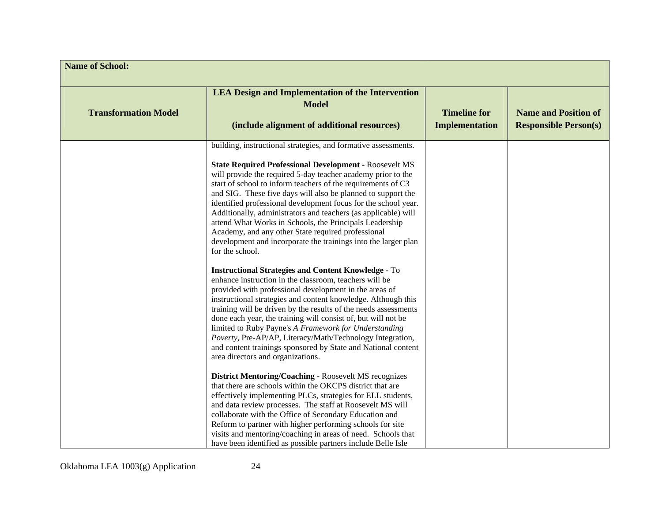| <b>Name of School:</b>      |                                                                                                                                                                                                                                                                                                                                                                                                                                                                                                                                                                                                                                                                                                                                                                                                                                                                                                                                                                                                                                                                                                                           |                                       |                                                             |
|-----------------------------|---------------------------------------------------------------------------------------------------------------------------------------------------------------------------------------------------------------------------------------------------------------------------------------------------------------------------------------------------------------------------------------------------------------------------------------------------------------------------------------------------------------------------------------------------------------------------------------------------------------------------------------------------------------------------------------------------------------------------------------------------------------------------------------------------------------------------------------------------------------------------------------------------------------------------------------------------------------------------------------------------------------------------------------------------------------------------------------------------------------------------|---------------------------------------|-------------------------------------------------------------|
| <b>Transformation Model</b> | <b>LEA Design and Implementation of the Intervention</b><br><b>Model</b><br>(include alignment of additional resources)                                                                                                                                                                                                                                                                                                                                                                                                                                                                                                                                                                                                                                                                                                                                                                                                                                                                                                                                                                                                   | <b>Timeline for</b><br>Implementation | <b>Name and Position of</b><br><b>Responsible Person(s)</b> |
|                             | building, instructional strategies, and formative assessments.<br><b>State Required Professional Development - Roosevelt MS</b><br>will provide the required 5-day teacher academy prior to the<br>start of school to inform teachers of the requirements of C3<br>and SIG. These five days will also be planned to support the<br>identified professional development focus for the school year.<br>Additionally, administrators and teachers (as applicable) will<br>attend What Works in Schools, the Principals Leadership<br>Academy, and any other State required professional<br>development and incorporate the trainings into the larger plan<br>for the school.<br><b>Instructional Strategies and Content Knowledge - To</b><br>enhance instruction in the classroom, teachers will be<br>provided with professional development in the areas of<br>instructional strategies and content knowledge. Although this<br>training will be driven by the results of the needs assessments<br>done each year, the training will consist of, but will not be<br>limited to Ruby Payne's A Framework for Understanding |                                       |                                                             |
|                             | Poverty, Pre-AP/AP, Literacy/Math/Technology Integration,<br>and content trainings sponsored by State and National content<br>area directors and organizations.<br><b>District Mentoring/Coaching - Roosevelt MS recognizes</b><br>that there are schools within the OKCPS district that are<br>effectively implementing PLCs, strategies for ELL students,<br>and data review processes. The staff at Roosevelt MS will<br>collaborate with the Office of Secondary Education and<br>Reform to partner with higher performing schools for site<br>visits and mentoring/coaching in areas of need. Schools that<br>have been identified as possible partners include Belle Isle                                                                                                                                                                                                                                                                                                                                                                                                                                           |                                       |                                                             |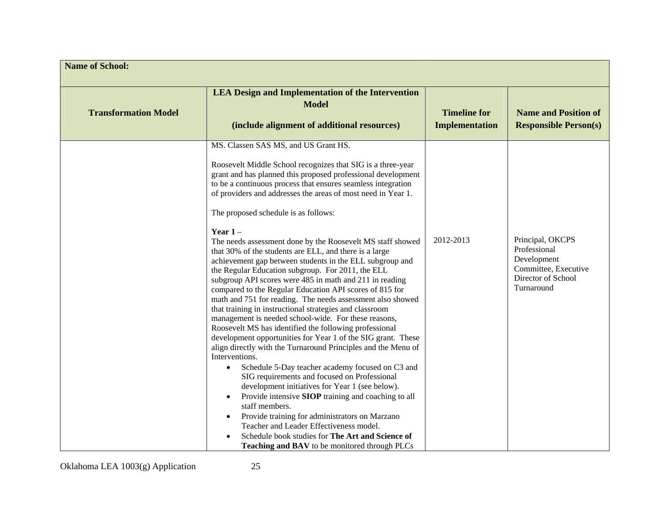| <b>Name of School:</b>      |                                                                                                                                                                                                                                                                                                                                                                                                                                                                                                                                                                                                                                                                                                                                                                                                                                                                                                                                                                                                                                                                                                                                                                                                                                                                                                                                                                                                                                                                                                                                                                                                |                                              |                                                                                                             |
|-----------------------------|------------------------------------------------------------------------------------------------------------------------------------------------------------------------------------------------------------------------------------------------------------------------------------------------------------------------------------------------------------------------------------------------------------------------------------------------------------------------------------------------------------------------------------------------------------------------------------------------------------------------------------------------------------------------------------------------------------------------------------------------------------------------------------------------------------------------------------------------------------------------------------------------------------------------------------------------------------------------------------------------------------------------------------------------------------------------------------------------------------------------------------------------------------------------------------------------------------------------------------------------------------------------------------------------------------------------------------------------------------------------------------------------------------------------------------------------------------------------------------------------------------------------------------------------------------------------------------------------|----------------------------------------------|-------------------------------------------------------------------------------------------------------------|
| <b>Transformation Model</b> | <b>LEA Design and Implementation of the Intervention</b><br><b>Model</b><br>(include alignment of additional resources)                                                                                                                                                                                                                                                                                                                                                                                                                                                                                                                                                                                                                                                                                                                                                                                                                                                                                                                                                                                                                                                                                                                                                                                                                                                                                                                                                                                                                                                                        | <b>Timeline for</b><br><b>Implementation</b> | <b>Name and Position of</b><br><b>Responsible Person(s)</b>                                                 |
|                             | MS. Classen SAS MS, and US Grant HS.<br>Roosevelt Middle School recognizes that SIG is a three-year<br>grant and has planned this proposed professional development<br>to be a continuous process that ensures seamless integration<br>of providers and addresses the areas of most need in Year 1.<br>The proposed schedule is as follows:<br>Year $1-$<br>The needs assessment done by the Roosevelt MS staff showed<br>that 30% of the students are ELL, and there is a large<br>achievement gap between students in the ELL subgroup and<br>the Regular Education subgroup. For 2011, the ELL<br>subgroup API scores were 485 in math and 211 in reading<br>compared to the Regular Education API scores of 815 for<br>math and 751 for reading. The needs assessment also showed<br>that training in instructional strategies and classroom<br>management is needed school-wide. For these reasons,<br>Roosevelt MS has identified the following professional<br>development opportunities for Year 1 of the SIG grant. These<br>align directly with the Turnaround Principles and the Menu of<br>Interventions.<br>Schedule 5-Day teacher academy focused on C3 and<br>$\bullet$<br>SIG requirements and focused on Professional<br>development initiatives for Year 1 (see below).<br>Provide intensive SIOP training and coaching to all<br>$\bullet$<br>staff members.<br>Provide training for administrators on Marzano<br>$\bullet$<br>Teacher and Leader Effectiveness model.<br>Schedule book studies for The Art and Science of<br>Teaching and BAV to be monitored through PLCs | 2012-2013                                    | Principal, OKCPS<br>Professional<br>Development<br>Committee, Executive<br>Director of School<br>Turnaround |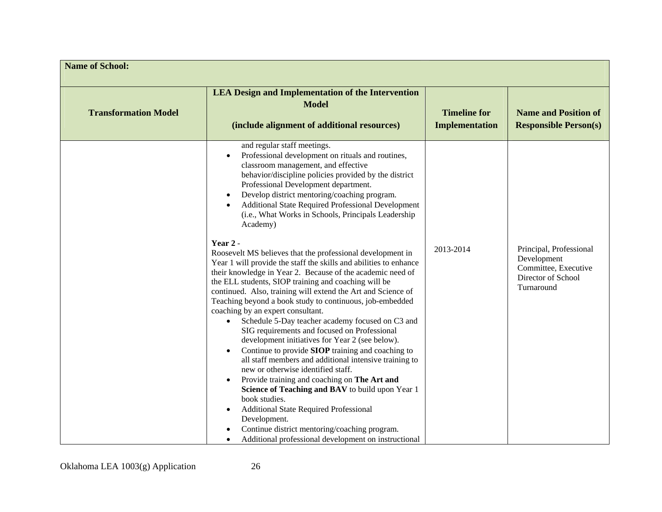| <b>Name of School:</b>      |                                                                                                                                                                                                                                                                                                                                                                                                                                                                                                                                                                                                                                                                                                                                                                                                                                                                                                                                                                                                                                                                                                                                                                                                                                                                                                                                    |                                       |                                                                                                    |
|-----------------------------|------------------------------------------------------------------------------------------------------------------------------------------------------------------------------------------------------------------------------------------------------------------------------------------------------------------------------------------------------------------------------------------------------------------------------------------------------------------------------------------------------------------------------------------------------------------------------------------------------------------------------------------------------------------------------------------------------------------------------------------------------------------------------------------------------------------------------------------------------------------------------------------------------------------------------------------------------------------------------------------------------------------------------------------------------------------------------------------------------------------------------------------------------------------------------------------------------------------------------------------------------------------------------------------------------------------------------------|---------------------------------------|----------------------------------------------------------------------------------------------------|
| <b>Transformation Model</b> | <b>LEA Design and Implementation of the Intervention</b><br><b>Model</b><br>(include alignment of additional resources)                                                                                                                                                                                                                                                                                                                                                                                                                                                                                                                                                                                                                                                                                                                                                                                                                                                                                                                                                                                                                                                                                                                                                                                                            | <b>Timeline for</b><br>Implementation | <b>Name and Position of</b><br><b>Responsible Person(s)</b>                                        |
|                             | and regular staff meetings.<br>Professional development on rituals and routines,<br>classroom management, and effective<br>behavior/discipline policies provided by the district<br>Professional Development department.<br>Develop district mentoring/coaching program.<br>Additional State Required Professional Development<br>(i.e., What Works in Schools, Principals Leadership<br>Academy)<br>Year 2 -<br>Roosevelt MS believes that the professional development in<br>Year 1 will provide the staff the skills and abilities to enhance<br>their knowledge in Year 2. Because of the academic need of<br>the ELL students, SIOP training and coaching will be<br>continued. Also, training will extend the Art and Science of<br>Teaching beyond a book study to continuous, job-embedded<br>coaching by an expert consultant.<br>Schedule 5-Day teacher academy focused on C3 and<br>SIG requirements and focused on Professional<br>development initiatives for Year 2 (see below).<br>Continue to provide SIOP training and coaching to<br>all staff members and additional intensive training to<br>new or otherwise identified staff.<br>Provide training and coaching on The Art and<br>Science of Teaching and BAV to build upon Year 1<br>book studies.<br>Additional State Required Professional<br>Development. | 2013-2014                             | Principal, Professional<br>Development<br>Committee, Executive<br>Director of School<br>Turnaround |
|                             | Continue district mentoring/coaching program.<br>Additional professional development on instructional                                                                                                                                                                                                                                                                                                                                                                                                                                                                                                                                                                                                                                                                                                                                                                                                                                                                                                                                                                                                                                                                                                                                                                                                                              |                                       |                                                                                                    |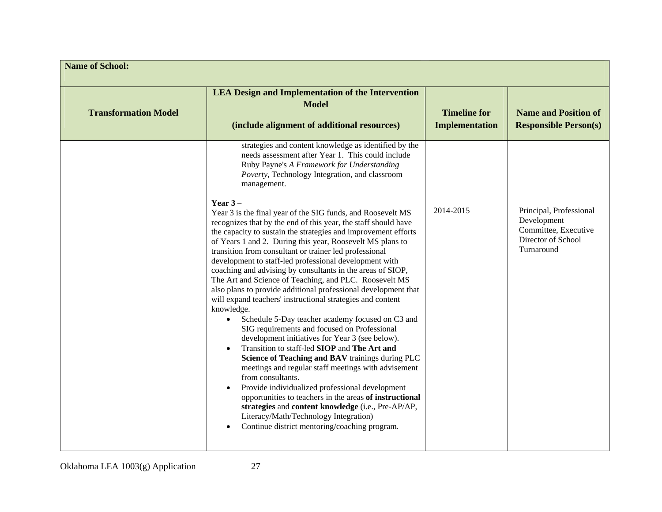| <b>Name of School:</b>      |                                                                                                                                                                                                                                                                                                                                                                                                                                                                                                                                                                                                                                                                                                                                                                                                                                                                                                                                                                                                                                                                                                                                                                                                                                                                                                    |                                              |                                                                                                    |
|-----------------------------|----------------------------------------------------------------------------------------------------------------------------------------------------------------------------------------------------------------------------------------------------------------------------------------------------------------------------------------------------------------------------------------------------------------------------------------------------------------------------------------------------------------------------------------------------------------------------------------------------------------------------------------------------------------------------------------------------------------------------------------------------------------------------------------------------------------------------------------------------------------------------------------------------------------------------------------------------------------------------------------------------------------------------------------------------------------------------------------------------------------------------------------------------------------------------------------------------------------------------------------------------------------------------------------------------|----------------------------------------------|----------------------------------------------------------------------------------------------------|
| <b>Transformation Model</b> | <b>LEA Design and Implementation of the Intervention</b><br><b>Model</b><br>(include alignment of additional resources)                                                                                                                                                                                                                                                                                                                                                                                                                                                                                                                                                                                                                                                                                                                                                                                                                                                                                                                                                                                                                                                                                                                                                                            | <b>Timeline for</b><br><b>Implementation</b> | <b>Name and Position of</b><br><b>Responsible Person(s)</b>                                        |
|                             | strategies and content knowledge as identified by the<br>needs assessment after Year 1. This could include<br>Ruby Payne's A Framework for Understanding<br>Poverty, Technology Integration, and classroom<br>management.                                                                                                                                                                                                                                                                                                                                                                                                                                                                                                                                                                                                                                                                                                                                                                                                                                                                                                                                                                                                                                                                          |                                              |                                                                                                    |
|                             | Year $3-$<br>Year 3 is the final year of the SIG funds, and Roosevelt MS<br>recognizes that by the end of this year, the staff should have<br>the capacity to sustain the strategies and improvement efforts<br>of Years 1 and 2. During this year, Roosevelt MS plans to<br>transition from consultant or trainer led professional<br>development to staff-led professional development with<br>coaching and advising by consultants in the areas of SIOP,<br>The Art and Science of Teaching, and PLC. Roosevelt MS<br>also plans to provide additional professional development that<br>will expand teachers' instructional strategies and content<br>knowledge.<br>Schedule 5-Day teacher academy focused on C3 and<br>$\bullet$<br>SIG requirements and focused on Professional<br>development initiatives for Year 3 (see below).<br>Transition to staff-led SIOP and The Art and<br>Science of Teaching and BAV trainings during PLC<br>meetings and regular staff meetings with advisement<br>from consultants.<br>Provide individualized professional development<br>opportunities to teachers in the areas of instructional<br>strategies and content knowledge (i.e., Pre-AP/AP,<br>Literacy/Math/Technology Integration)<br>Continue district mentoring/coaching program.<br>$\bullet$ | 2014-2015                                    | Principal, Professional<br>Development<br>Committee, Executive<br>Director of School<br>Turnaround |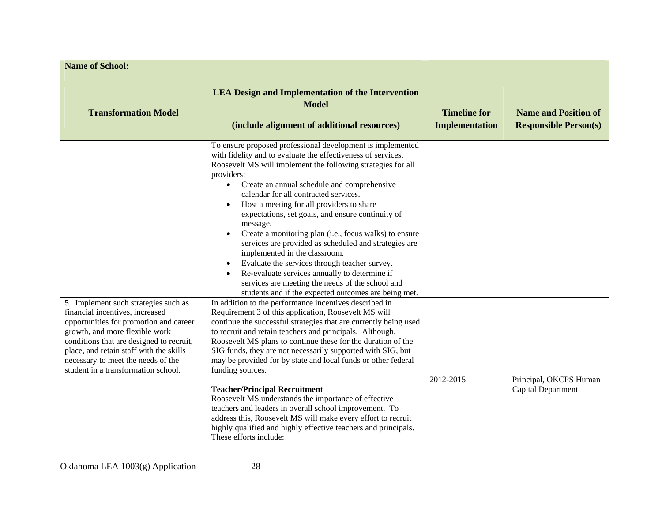| <b>Name of School:</b>                                                                                                                                                                                                                                                                                                  |                                                                                                                                                                                                                                                                                                                                                                                                                                                                                                                                                                                                                                                                                                                                                                                          |                                              |                                                             |
|-------------------------------------------------------------------------------------------------------------------------------------------------------------------------------------------------------------------------------------------------------------------------------------------------------------------------|------------------------------------------------------------------------------------------------------------------------------------------------------------------------------------------------------------------------------------------------------------------------------------------------------------------------------------------------------------------------------------------------------------------------------------------------------------------------------------------------------------------------------------------------------------------------------------------------------------------------------------------------------------------------------------------------------------------------------------------------------------------------------------------|----------------------------------------------|-------------------------------------------------------------|
| <b>Transformation Model</b>                                                                                                                                                                                                                                                                                             | <b>LEA Design and Implementation of the Intervention</b><br><b>Model</b><br>(include alignment of additional resources)                                                                                                                                                                                                                                                                                                                                                                                                                                                                                                                                                                                                                                                                  | <b>Timeline for</b><br><b>Implementation</b> | <b>Name and Position of</b><br><b>Responsible Person(s)</b> |
|                                                                                                                                                                                                                                                                                                                         | To ensure proposed professional development is implemented<br>with fidelity and to evaluate the effectiveness of services,<br>Roosevelt MS will implement the following strategies for all<br>providers:<br>Create an annual schedule and comprehensive<br>calendar for all contracted services.<br>Host a meeting for all providers to share<br>expectations, set goals, and ensure continuity of<br>message.<br>Create a monitoring plan (i.e., focus walks) to ensure<br>services are provided as scheduled and strategies are<br>implemented in the classroom.<br>Evaluate the services through teacher survey.<br>Re-evaluate services annually to determine if<br>services are meeting the needs of the school and<br>students and if the expected outcomes are being met.         |                                              |                                                             |
| 5. Implement such strategies such as<br>financial incentives, increased<br>opportunities for promotion and career<br>growth, and more flexible work<br>conditions that are designed to recruit,<br>place, and retain staff with the skills<br>necessary to meet the needs of the<br>student in a transformation school. | In addition to the performance incentives described in<br>Requirement 3 of this application, Roosevelt MS will<br>continue the successful strategies that are currently being used<br>to recruit and retain teachers and principals. Although,<br>Roosevelt MS plans to continue these for the duration of the<br>SIG funds, they are not necessarily supported with SIG, but<br>may be provided for by state and local funds or other federal<br>funding sources.<br><b>Teacher/Principal Recruitment</b><br>Roosevelt MS understands the importance of effective<br>teachers and leaders in overall school improvement. To<br>address this, Roosevelt MS will make every effort to recruit<br>highly qualified and highly effective teachers and principals.<br>These efforts include: | 2012-2015                                    | Principal, OKCPS Human<br>Capital Department                |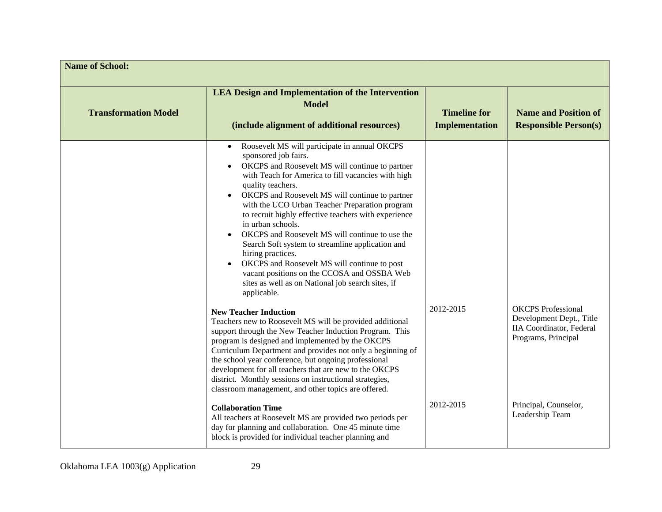| <b>Name of School:</b>      |                                                                                                                                                                                                                                                                                                                                                                                                                                                                                                                                                                                                                                                                                      |                                              |                                                                                                                  |
|-----------------------------|--------------------------------------------------------------------------------------------------------------------------------------------------------------------------------------------------------------------------------------------------------------------------------------------------------------------------------------------------------------------------------------------------------------------------------------------------------------------------------------------------------------------------------------------------------------------------------------------------------------------------------------------------------------------------------------|----------------------------------------------|------------------------------------------------------------------------------------------------------------------|
| <b>Transformation Model</b> | <b>LEA Design and Implementation of the Intervention</b><br><b>Model</b><br>(include alignment of additional resources)                                                                                                                                                                                                                                                                                                                                                                                                                                                                                                                                                              | <b>Timeline for</b><br><b>Implementation</b> | <b>Name and Position of</b><br><b>Responsible Person(s)</b>                                                      |
|                             | Roosevelt MS will participate in annual OKCPS<br>sponsored job fairs.<br>OKCPS and Roosevelt MS will continue to partner<br>with Teach for America to fill vacancies with high<br>quality teachers.<br>OKCPS and Roosevelt MS will continue to partner<br>with the UCO Urban Teacher Preparation program<br>to recruit highly effective teachers with experience<br>in urban schools.<br>OKCPS and Roosevelt MS will continue to use the<br>Search Soft system to streamline application and<br>hiring practices.<br>OKCPS and Roosevelt MS will continue to post<br>vacant positions on the CCOSA and OSSBA Web<br>sites as well as on National job search sites, if<br>applicable. |                                              |                                                                                                                  |
|                             | <b>New Teacher Induction</b><br>Teachers new to Roosevelt MS will be provided additional<br>support through the New Teacher Induction Program. This<br>program is designed and implemented by the OKCPS<br>Curriculum Department and provides not only a beginning of<br>the school year conference, but ongoing professional<br>development for all teachers that are new to the OKCPS<br>district. Monthly sessions on instructional strategies,<br>classroom management, and other topics are offered.                                                                                                                                                                            | 2012-2015                                    | <b>OKCPS</b> Professional<br>Development Dept., Title<br><b>IIA Coordinator</b> , Federal<br>Programs, Principal |
|                             | <b>Collaboration Time</b><br>All teachers at Roosevelt MS are provided two periods per<br>day for planning and collaboration. One 45 minute time<br>block is provided for individual teacher planning and                                                                                                                                                                                                                                                                                                                                                                                                                                                                            | 2012-2015                                    | Principal, Counselor,<br>Leadership Team                                                                         |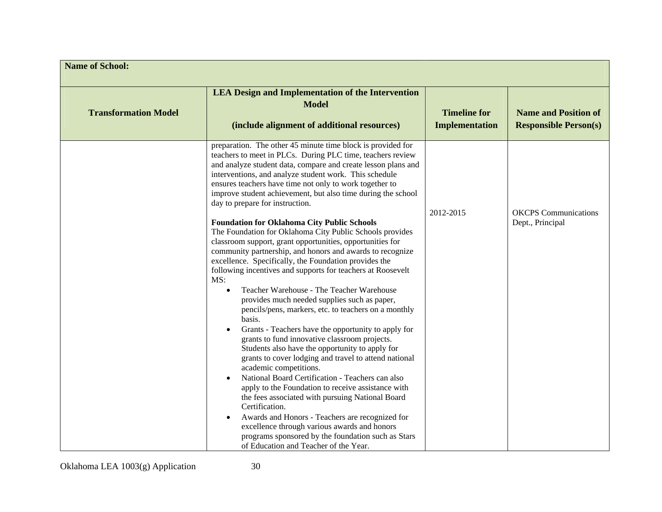| <b>Name of School:</b>      |                                                                                                                                                                                                                                                                                                                                                                                                                                                                                                                                                                                                                                                                                                                                                                                                                                                                                                                                                                                                                                                                                                                                                                                                                                                                                                                                                                                                                                                                                                                                                                                              |                                              |                                                             |
|-----------------------------|----------------------------------------------------------------------------------------------------------------------------------------------------------------------------------------------------------------------------------------------------------------------------------------------------------------------------------------------------------------------------------------------------------------------------------------------------------------------------------------------------------------------------------------------------------------------------------------------------------------------------------------------------------------------------------------------------------------------------------------------------------------------------------------------------------------------------------------------------------------------------------------------------------------------------------------------------------------------------------------------------------------------------------------------------------------------------------------------------------------------------------------------------------------------------------------------------------------------------------------------------------------------------------------------------------------------------------------------------------------------------------------------------------------------------------------------------------------------------------------------------------------------------------------------------------------------------------------------|----------------------------------------------|-------------------------------------------------------------|
| <b>Transformation Model</b> | <b>LEA Design and Implementation of the Intervention</b><br><b>Model</b><br>(include alignment of additional resources)                                                                                                                                                                                                                                                                                                                                                                                                                                                                                                                                                                                                                                                                                                                                                                                                                                                                                                                                                                                                                                                                                                                                                                                                                                                                                                                                                                                                                                                                      | <b>Timeline for</b><br><b>Implementation</b> | <b>Name and Position of</b><br><b>Responsible Person(s)</b> |
|                             | preparation. The other 45 minute time block is provided for<br>teachers to meet in PLCs. During PLC time, teachers review<br>and analyze student data, compare and create lesson plans and<br>interventions, and analyze student work. This schedule<br>ensures teachers have time not only to work together to<br>improve student achievement, but also time during the school<br>day to prepare for instruction.<br><b>Foundation for Oklahoma City Public Schools</b><br>The Foundation for Oklahoma City Public Schools provides<br>classroom support, grant opportunities, opportunities for<br>community partnership, and honors and awards to recognize<br>excellence. Specifically, the Foundation provides the<br>following incentives and supports for teachers at Roosevelt<br>MS:<br>Teacher Warehouse - The Teacher Warehouse<br>provides much needed supplies such as paper,<br>pencils/pens, markers, etc. to teachers on a monthly<br>basis.<br>Grants - Teachers have the opportunity to apply for<br>grants to fund innovative classroom projects.<br>Students also have the opportunity to apply for<br>grants to cover lodging and travel to attend national<br>academic competitions.<br>National Board Certification - Teachers can also<br>apply to the Foundation to receive assistance with<br>the fees associated with pursuing National Board<br>Certification.<br>Awards and Honors - Teachers are recognized for<br>excellence through various awards and honors<br>programs sponsored by the foundation such as Stars<br>of Education and Teacher of the Year. | 2012-2015                                    | <b>OKCPS</b> Communications<br>Dept., Principal             |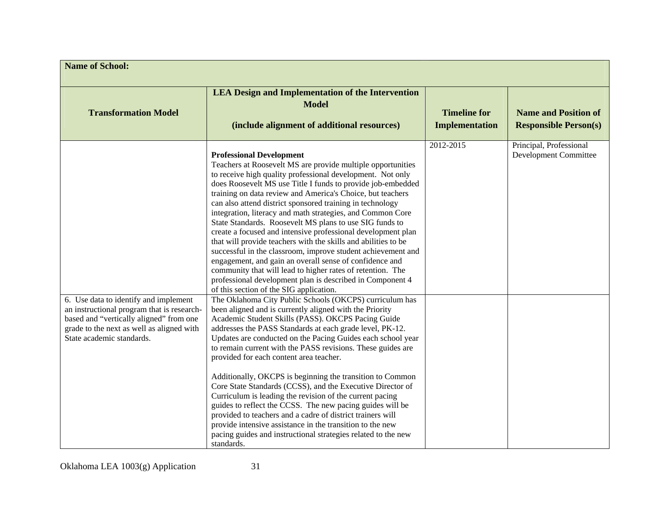| <b>Name of School:</b>                                                                                                                                                                                   |                                                                                                                                                                                                                                                                                                                                                                                                                                                                                                                                                                                                                                                                                                                                                                                                                                                                                                                                                                                                                                                                                                                                                                                                                                                                                                                                                                                                                                                                                                                                                                                                                                                                                                                                                                                                   |                                              |                                                             |
|----------------------------------------------------------------------------------------------------------------------------------------------------------------------------------------------------------|---------------------------------------------------------------------------------------------------------------------------------------------------------------------------------------------------------------------------------------------------------------------------------------------------------------------------------------------------------------------------------------------------------------------------------------------------------------------------------------------------------------------------------------------------------------------------------------------------------------------------------------------------------------------------------------------------------------------------------------------------------------------------------------------------------------------------------------------------------------------------------------------------------------------------------------------------------------------------------------------------------------------------------------------------------------------------------------------------------------------------------------------------------------------------------------------------------------------------------------------------------------------------------------------------------------------------------------------------------------------------------------------------------------------------------------------------------------------------------------------------------------------------------------------------------------------------------------------------------------------------------------------------------------------------------------------------------------------------------------------------------------------------------------------------|----------------------------------------------|-------------------------------------------------------------|
| <b>Transformation Model</b>                                                                                                                                                                              | <b>LEA Design and Implementation of the Intervention</b><br><b>Model</b><br>(include alignment of additional resources)                                                                                                                                                                                                                                                                                                                                                                                                                                                                                                                                                                                                                                                                                                                                                                                                                                                                                                                                                                                                                                                                                                                                                                                                                                                                                                                                                                                                                                                                                                                                                                                                                                                                           | <b>Timeline for</b><br><b>Implementation</b> | <b>Name and Position of</b><br><b>Responsible Person(s)</b> |
| 6. Use data to identify and implement<br>an instructional program that is research-<br>based and "vertically aligned" from one<br>grade to the next as well as aligned with<br>State academic standards. | <b>Professional Development</b><br>Teachers at Roosevelt MS are provide multiple opportunities<br>to receive high quality professional development. Not only<br>does Roosevelt MS use Title I funds to provide job-embedded<br>training on data review and America's Choice, but teachers<br>can also attend district sponsored training in technology<br>integration, literacy and math strategies, and Common Core<br>State Standards. Roosevelt MS plans to use SIG funds to<br>create a focused and intensive professional development plan<br>that will provide teachers with the skills and abilities to be<br>successful in the classroom, improve student achievement and<br>engagement, and gain an overall sense of confidence and<br>community that will lead to higher rates of retention. The<br>professional development plan is described in Component 4<br>of this section of the SIG application.<br>The Oklahoma City Public Schools (OKCPS) curriculum has<br>been aligned and is currently aligned with the Priority<br>Academic Student Skills (PASS). OKCPS Pacing Guide<br>addresses the PASS Standards at each grade level, PK-12.<br>Updates are conducted on the Pacing Guides each school year<br>to remain current with the PASS revisions. These guides are<br>provided for each content area teacher.<br>Additionally, OKCPS is beginning the transition to Common<br>Core State Standards (CCSS), and the Executive Director of<br>Curriculum is leading the revision of the current pacing<br>guides to reflect the CCSS. The new pacing guides will be<br>provided to teachers and a cadre of district trainers will<br>provide intensive assistance in the transition to the new<br>pacing guides and instructional strategies related to the new<br>standards. | 2012-2015                                    | Principal, Professional<br>Development Committee            |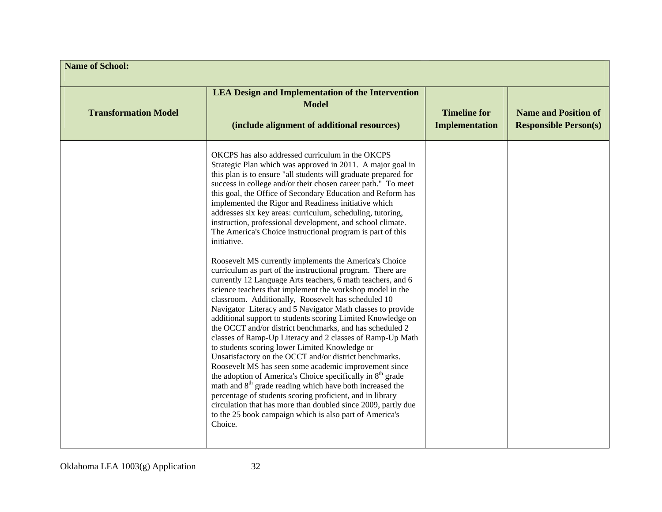| <b>Name of School:</b>      |                                                                                                                                                                                                                                                                                                                                                                                                                                                                                                                                                                                                                                                                                                                                                                                                                                                                                                                                                                                                                                                                                                                                                                                                                                                                                                                                                                                                                                                                                                                                                                                                                                                                               |                                       |                                                             |
|-----------------------------|-------------------------------------------------------------------------------------------------------------------------------------------------------------------------------------------------------------------------------------------------------------------------------------------------------------------------------------------------------------------------------------------------------------------------------------------------------------------------------------------------------------------------------------------------------------------------------------------------------------------------------------------------------------------------------------------------------------------------------------------------------------------------------------------------------------------------------------------------------------------------------------------------------------------------------------------------------------------------------------------------------------------------------------------------------------------------------------------------------------------------------------------------------------------------------------------------------------------------------------------------------------------------------------------------------------------------------------------------------------------------------------------------------------------------------------------------------------------------------------------------------------------------------------------------------------------------------------------------------------------------------------------------------------------------------|---------------------------------------|-------------------------------------------------------------|
| <b>Transformation Model</b> | <b>LEA Design and Implementation of the Intervention</b><br><b>Model</b><br>(include alignment of additional resources)                                                                                                                                                                                                                                                                                                                                                                                                                                                                                                                                                                                                                                                                                                                                                                                                                                                                                                                                                                                                                                                                                                                                                                                                                                                                                                                                                                                                                                                                                                                                                       | <b>Timeline for</b><br>Implementation | <b>Name and Position of</b><br><b>Responsible Person(s)</b> |
|                             | OKCPS has also addressed curriculum in the OKCPS<br>Strategic Plan which was approved in 2011. A major goal in<br>this plan is to ensure "all students will graduate prepared for<br>success in college and/or their chosen career path." To meet<br>this goal, the Office of Secondary Education and Reform has<br>implemented the Rigor and Readiness initiative which<br>addresses six key areas: curriculum, scheduling, tutoring,<br>instruction, professional development, and school climate.<br>The America's Choice instructional program is part of this<br>initiative.<br>Roosevelt MS currently implements the America's Choice<br>curriculum as part of the instructional program. There are<br>currently 12 Language Arts teachers, 6 math teachers, and 6<br>science teachers that implement the workshop model in the<br>classroom. Additionally, Roosevelt has scheduled 10<br>Navigator Literacy and 5 Navigator Math classes to provide<br>additional support to students scoring Limited Knowledge on<br>the OCCT and/or district benchmarks, and has scheduled 2<br>classes of Ramp-Up Literacy and 2 classes of Ramp-Up Math<br>to students scoring lower Limited Knowledge or<br>Unsatisfactory on the OCCT and/or district benchmarks.<br>Roosevelt MS has seen some academic improvement since<br>the adoption of America's Choice specifically in 8 <sup>th</sup> grade<br>math and 8 <sup>th</sup> grade reading which have both increased the<br>percentage of students scoring proficient, and in library<br>circulation that has more than doubled since 2009, partly due<br>to the 25 book campaign which is also part of America's<br>Choice. |                                       |                                                             |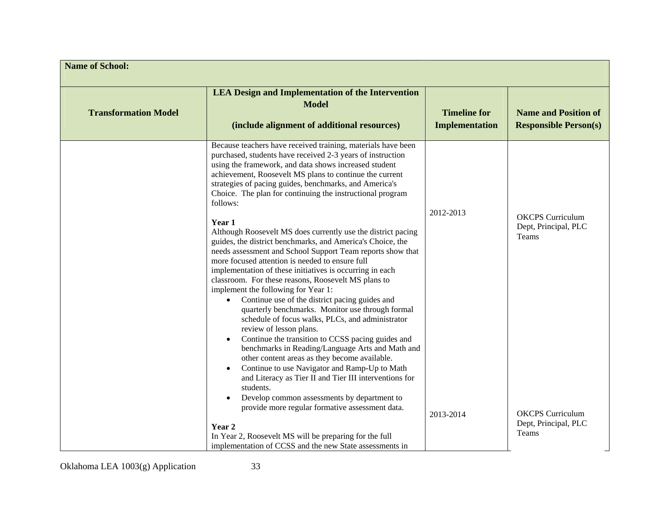| <b>Name of School:</b>      |                                                                                                                                                                                                                                                                                                                                                                                                                                                                                                                                                                                                                                                                                                                                                                                                                                                                                                                                                                                                                                                                                                                                                                                                                                                                                                                            |                                              |                                                             |
|-----------------------------|----------------------------------------------------------------------------------------------------------------------------------------------------------------------------------------------------------------------------------------------------------------------------------------------------------------------------------------------------------------------------------------------------------------------------------------------------------------------------------------------------------------------------------------------------------------------------------------------------------------------------------------------------------------------------------------------------------------------------------------------------------------------------------------------------------------------------------------------------------------------------------------------------------------------------------------------------------------------------------------------------------------------------------------------------------------------------------------------------------------------------------------------------------------------------------------------------------------------------------------------------------------------------------------------------------------------------|----------------------------------------------|-------------------------------------------------------------|
| <b>Transformation Model</b> | <b>LEA Design and Implementation of the Intervention</b><br><b>Model</b><br>(include alignment of additional resources)                                                                                                                                                                                                                                                                                                                                                                                                                                                                                                                                                                                                                                                                                                                                                                                                                                                                                                                                                                                                                                                                                                                                                                                                    | <b>Timeline for</b><br><b>Implementation</b> | <b>Name and Position of</b><br><b>Responsible Person(s)</b> |
|                             | Because teachers have received training, materials have been<br>purchased, students have received 2-3 years of instruction<br>using the framework, and data shows increased student<br>achievement, Roosevelt MS plans to continue the current<br>strategies of pacing guides, benchmarks, and America's<br>Choice. The plan for continuing the instructional program<br>follows:<br>Year 1<br>Although Roosevelt MS does currently use the district pacing<br>guides, the district benchmarks, and America's Choice, the<br>needs assessment and School Support Team reports show that<br>more focused attention is needed to ensure full<br>implementation of these initiatives is occurring in each<br>classroom. For these reasons, Roosevelt MS plans to<br>implement the following for Year 1:<br>Continue use of the district pacing guides and<br>quarterly benchmarks. Monitor use through formal<br>schedule of focus walks, PLCs, and administrator<br>review of lesson plans.<br>Continue the transition to CCSS pacing guides and<br>benchmarks in Reading/Language Arts and Math and<br>other content areas as they become available.<br>Continue to use Navigator and Ramp-Up to Math<br>and Literacy as Tier II and Tier III interventions for<br>students.<br>Develop common assessments by department to | 2012-2013                                    | <b>OKCPS</b> Curriculum<br>Dept, Principal, PLC<br>Teams    |
|                             | provide more regular formative assessment data.<br>Year 2<br>In Year 2, Roosevelt MS will be preparing for the full                                                                                                                                                                                                                                                                                                                                                                                                                                                                                                                                                                                                                                                                                                                                                                                                                                                                                                                                                                                                                                                                                                                                                                                                        | 2013-2014                                    | <b>OKCPS</b> Curriculum<br>Dept, Principal, PLC<br>Teams    |
|                             | implementation of CCSS and the new State assessments in                                                                                                                                                                                                                                                                                                                                                                                                                                                                                                                                                                                                                                                                                                                                                                                                                                                                                                                                                                                                                                                                                                                                                                                                                                                                    |                                              |                                                             |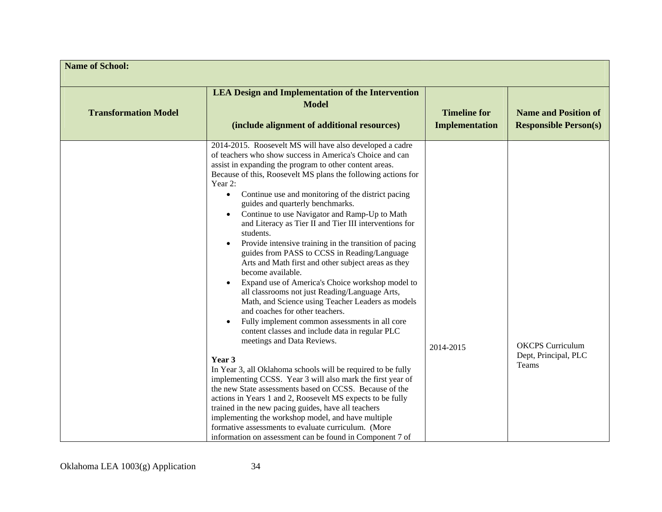| <b>Name of School:</b>      |                                                                                                                                                                                                                                                                                                                                                                                                                                                                                                                                                                                                                                                                                                                                                                                                                                                                                                                                                                                                                                                                                                                                                                                                                                                                                                                                                                                                                                                                                                       |                                              |                                                             |  |
|-----------------------------|-------------------------------------------------------------------------------------------------------------------------------------------------------------------------------------------------------------------------------------------------------------------------------------------------------------------------------------------------------------------------------------------------------------------------------------------------------------------------------------------------------------------------------------------------------------------------------------------------------------------------------------------------------------------------------------------------------------------------------------------------------------------------------------------------------------------------------------------------------------------------------------------------------------------------------------------------------------------------------------------------------------------------------------------------------------------------------------------------------------------------------------------------------------------------------------------------------------------------------------------------------------------------------------------------------------------------------------------------------------------------------------------------------------------------------------------------------------------------------------------------------|----------------------------------------------|-------------------------------------------------------------|--|
| <b>Transformation Model</b> | <b>LEA Design and Implementation of the Intervention</b><br><b>Model</b><br>(include alignment of additional resources)                                                                                                                                                                                                                                                                                                                                                                                                                                                                                                                                                                                                                                                                                                                                                                                                                                                                                                                                                                                                                                                                                                                                                                                                                                                                                                                                                                               | <b>Timeline for</b><br><b>Implementation</b> | <b>Name and Position of</b><br><b>Responsible Person(s)</b> |  |
|                             | 2014-2015. Roosevelt MS will have also developed a cadre<br>of teachers who show success in America's Choice and can<br>assist in expanding the program to other content areas.<br>Because of this, Roosevelt MS plans the following actions for<br>Year 2:<br>Continue use and monitoring of the district pacing<br>guides and quarterly benchmarks.<br>Continue to use Navigator and Ramp-Up to Math<br>and Literacy as Tier II and Tier III interventions for<br>students.<br>Provide intensive training in the transition of pacing<br>guides from PASS to CCSS in Reading/Language<br>Arts and Math first and other subject areas as they<br>become available.<br>Expand use of America's Choice workshop model to<br>all classrooms not just Reading/Language Arts,<br>Math, and Science using Teacher Leaders as models<br>and coaches for other teachers.<br>Fully implement common assessments in all core<br>content classes and include data in regular PLC<br>meetings and Data Reviews.<br>Year 3<br>In Year 3, all Oklahoma schools will be required to be fully<br>implementing CCSS. Year 3 will also mark the first year of<br>the new State assessments based on CCSS. Because of the<br>actions in Years 1 and 2, Roosevelt MS expects to be fully<br>trained in the new pacing guides, have all teachers<br>implementing the workshop model, and have multiple<br>formative assessments to evaluate curriculum. (More<br>information on assessment can be found in Component 7 of | 2014-2015                                    | <b>OKCPS</b> Curriculum<br>Dept, Principal, PLC<br>Teams    |  |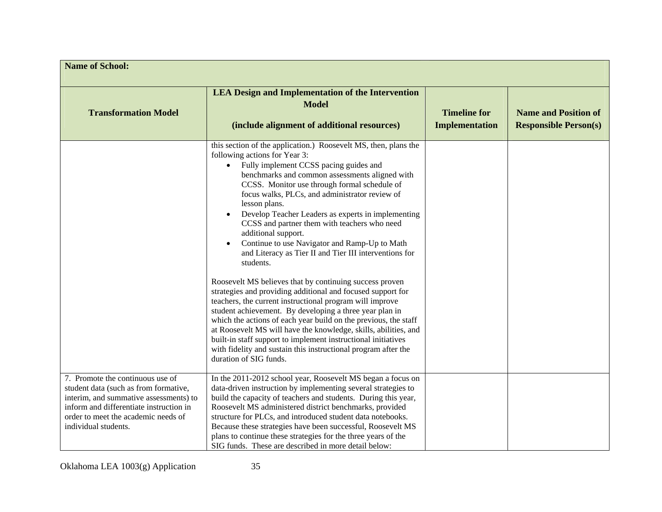| <b>Name of School:</b>                                                                                                                                                                                                        |                                                                                                                                                                                                                                                                                                                                                                                                                                                                                                                                                                                                                                                                                                                                                                                                                                                                                                                                                                                                                                                                                                                                       |                                              |                                                             |
|-------------------------------------------------------------------------------------------------------------------------------------------------------------------------------------------------------------------------------|---------------------------------------------------------------------------------------------------------------------------------------------------------------------------------------------------------------------------------------------------------------------------------------------------------------------------------------------------------------------------------------------------------------------------------------------------------------------------------------------------------------------------------------------------------------------------------------------------------------------------------------------------------------------------------------------------------------------------------------------------------------------------------------------------------------------------------------------------------------------------------------------------------------------------------------------------------------------------------------------------------------------------------------------------------------------------------------------------------------------------------------|----------------------------------------------|-------------------------------------------------------------|
| <b>Transformation Model</b>                                                                                                                                                                                                   | <b>LEA Design and Implementation of the Intervention</b><br><b>Model</b><br>(include alignment of additional resources)                                                                                                                                                                                                                                                                                                                                                                                                                                                                                                                                                                                                                                                                                                                                                                                                                                                                                                                                                                                                               | <b>Timeline for</b><br><b>Implementation</b> | <b>Name and Position of</b><br><b>Responsible Person(s)</b> |
|                                                                                                                                                                                                                               | this section of the application.) Roosevelt MS, then, plans the<br>following actions for Year 3:<br>Fully implement CCSS pacing guides and<br>benchmarks and common assessments aligned with<br>CCSS. Monitor use through formal schedule of<br>focus walks, PLCs, and administrator review of<br>lesson plans.<br>Develop Teacher Leaders as experts in implementing<br>CCSS and partner them with teachers who need<br>additional support.<br>Continue to use Navigator and Ramp-Up to Math<br>$\bullet$<br>and Literacy as Tier II and Tier III interventions for<br>students.<br>Roosevelt MS believes that by continuing success proven<br>strategies and providing additional and focused support for<br>teachers, the current instructional program will improve<br>student achievement. By developing a three year plan in<br>which the actions of each year build on the previous, the staff<br>at Roosevelt MS will have the knowledge, skills, abilities, and<br>built-in staff support to implement instructional initiatives<br>with fidelity and sustain this instructional program after the<br>duration of SIG funds. |                                              |                                                             |
| 7. Promote the continuous use of<br>student data (such as from formative,<br>interim, and summative assessments) to<br>inform and differentiate instruction in<br>order to meet the academic needs of<br>individual students. | In the 2011-2012 school year, Roosevelt MS began a focus on<br>data-driven instruction by implementing several strategies to<br>build the capacity of teachers and students. During this year,<br>Roosevelt MS administered district benchmarks, provided<br>structure for PLCs, and introduced student data notebooks.<br>Because these strategies have been successful, Roosevelt MS<br>plans to continue these strategies for the three years of the<br>SIG funds. These are described in more detail below:                                                                                                                                                                                                                                                                                                                                                                                                                                                                                                                                                                                                                       |                                              |                                                             |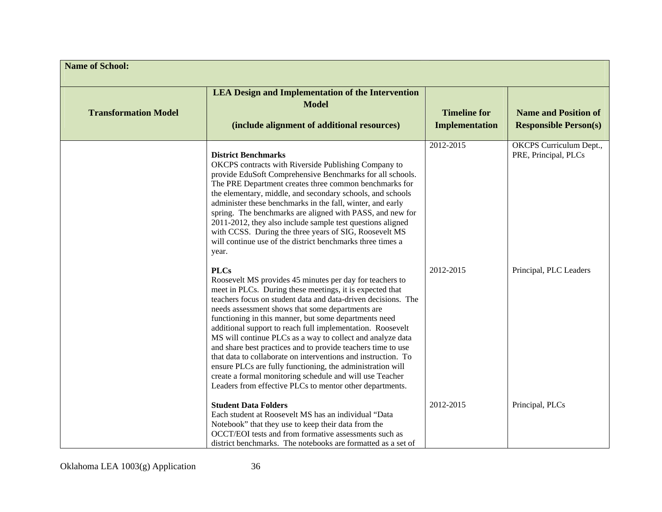| <b>Name of School:</b>      |                                                                                                                                                                                                                                                                                                                                                                                                                                                                                                                                                                                                                                                                                                                                                                      |                                              |                                                             |
|-----------------------------|----------------------------------------------------------------------------------------------------------------------------------------------------------------------------------------------------------------------------------------------------------------------------------------------------------------------------------------------------------------------------------------------------------------------------------------------------------------------------------------------------------------------------------------------------------------------------------------------------------------------------------------------------------------------------------------------------------------------------------------------------------------------|----------------------------------------------|-------------------------------------------------------------|
| <b>Transformation Model</b> | <b>LEA Design and Implementation of the Intervention</b><br><b>Model</b><br>(include alignment of additional resources)                                                                                                                                                                                                                                                                                                                                                                                                                                                                                                                                                                                                                                              | <b>Timeline for</b><br><b>Implementation</b> | <b>Name and Position of</b><br><b>Responsible Person(s)</b> |
|                             | <b>District Benchmarks</b><br>OKCPS contracts with Riverside Publishing Company to<br>provide EduSoft Comprehensive Benchmarks for all schools.<br>The PRE Department creates three common benchmarks for<br>the elementary, middle, and secondary schools, and schools<br>administer these benchmarks in the fall, winter, and early<br>spring. The benchmarks are aligned with PASS, and new for<br>2011-2012, they also include sample test questions aligned<br>with CCSS. During the three years of SIG, Roosevelt MS<br>will continue use of the district benchmarks three times a<br>year.                                                                                                                                                                    | 2012-2015                                    | OKCPS Curriculum Dept.,<br>PRE, Principal, PLCs             |
|                             | <b>PLCs</b><br>Roosevelt MS provides 45 minutes per day for teachers to<br>meet in PLCs. During these meetings, it is expected that<br>teachers focus on student data and data-driven decisions. The<br>needs assessment shows that some departments are<br>functioning in this manner, but some departments need<br>additional support to reach full implementation. Roosevelt<br>MS will continue PLCs as a way to collect and analyze data<br>and share best practices and to provide teachers time to use<br>that data to collaborate on interventions and instruction. To<br>ensure PLCs are fully functioning, the administration will<br>create a formal monitoring schedule and will use Teacher<br>Leaders from effective PLCs to mentor other departments. | 2012-2015                                    | Principal, PLC Leaders                                      |
|                             | <b>Student Data Folders</b><br>Each student at Roosevelt MS has an individual "Data<br>Notebook" that they use to keep their data from the<br>OCCT/EOI tests and from formative assessments such as<br>district benchmarks. The notebooks are formatted as a set of                                                                                                                                                                                                                                                                                                                                                                                                                                                                                                  | 2012-2015                                    | Principal, PLCs                                             |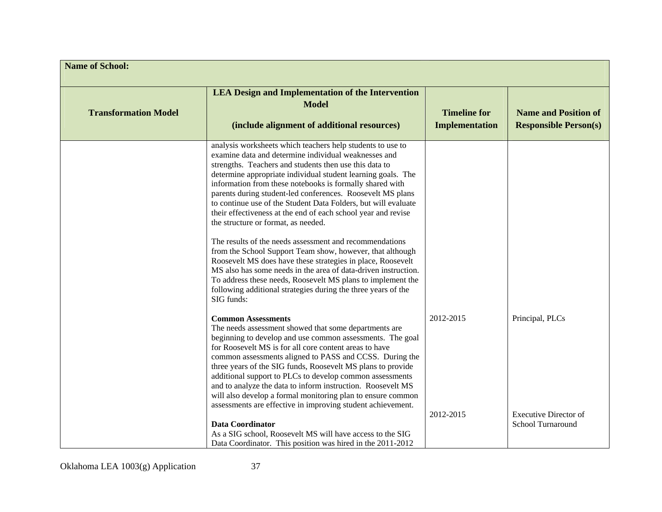| <b>Name of School:</b>      |                                                                                                                                                                                                                                                                                                                                                                                                                                                                                                                                                                                                                                                                                                                                                                                                                                                                                                                                                         |                                              |                                                             |
|-----------------------------|---------------------------------------------------------------------------------------------------------------------------------------------------------------------------------------------------------------------------------------------------------------------------------------------------------------------------------------------------------------------------------------------------------------------------------------------------------------------------------------------------------------------------------------------------------------------------------------------------------------------------------------------------------------------------------------------------------------------------------------------------------------------------------------------------------------------------------------------------------------------------------------------------------------------------------------------------------|----------------------------------------------|-------------------------------------------------------------|
| <b>Transformation Model</b> | <b>LEA Design and Implementation of the Intervention</b><br><b>Model</b><br>(include alignment of additional resources)                                                                                                                                                                                                                                                                                                                                                                                                                                                                                                                                                                                                                                                                                                                                                                                                                                 | <b>Timeline for</b><br><b>Implementation</b> | <b>Name and Position of</b><br><b>Responsible Person(s)</b> |
|                             | analysis worksheets which teachers help students to use to<br>examine data and determine individual weaknesses and<br>strengths. Teachers and students then use this data to<br>determine appropriate individual student learning goals. The<br>information from these notebooks is formally shared with<br>parents during student-led conferences. Roosevelt MS plans<br>to continue use of the Student Data Folders, but will evaluate<br>their effectiveness at the end of each school year and revise<br>the structure or format, as needed.<br>The results of the needs assessment and recommendations<br>from the School Support Team show, however, that although<br>Roosevelt MS does have these strategies in place, Roosevelt<br>MS also has some needs in the area of data-driven instruction.<br>To address these needs, Roosevelt MS plans to implement the<br>following additional strategies during the three years of the<br>SIG funds: |                                              |                                                             |
|                             | <b>Common Assessments</b><br>The needs assessment showed that some departments are<br>beginning to develop and use common assessments. The goal<br>for Roosevelt MS is for all core content areas to have<br>common assessments aligned to PASS and CCSS. During the<br>three years of the SIG funds, Roosevelt MS plans to provide<br>additional support to PLCs to develop common assessments<br>and to analyze the data to inform instruction. Roosevelt MS<br>will also develop a formal monitoring plan to ensure common<br>assessments are effective in improving student achievement.                                                                                                                                                                                                                                                                                                                                                            | 2012-2015                                    | Principal, PLCs                                             |
|                             | <b>Data Coordinator</b><br>As a SIG school, Roosevelt MS will have access to the SIG<br>Data Coordinator. This position was hired in the 2011-2012                                                                                                                                                                                                                                                                                                                                                                                                                                                                                                                                                                                                                                                                                                                                                                                                      | 2012-2015                                    | <b>Executive Director of</b><br>School Turnaround           |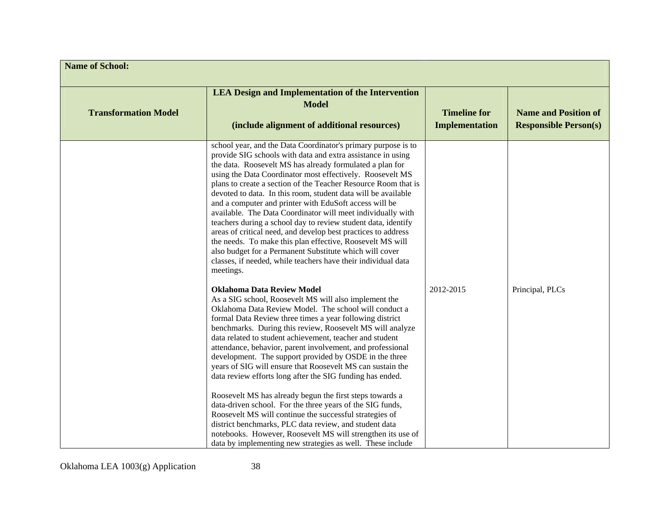| <b>Name of School:</b>      |                                                                                                                                                                                                                                                                                                                                                                                                                                                                                                                                                                                                                                                                                                                                                                                                                                                           |                                       |                                                             |
|-----------------------------|-----------------------------------------------------------------------------------------------------------------------------------------------------------------------------------------------------------------------------------------------------------------------------------------------------------------------------------------------------------------------------------------------------------------------------------------------------------------------------------------------------------------------------------------------------------------------------------------------------------------------------------------------------------------------------------------------------------------------------------------------------------------------------------------------------------------------------------------------------------|---------------------------------------|-------------------------------------------------------------|
| <b>Transformation Model</b> | <b>LEA Design and Implementation of the Intervention</b><br><b>Model</b><br>(include alignment of additional resources)                                                                                                                                                                                                                                                                                                                                                                                                                                                                                                                                                                                                                                                                                                                                   | <b>Timeline for</b><br>Implementation | <b>Name and Position of</b><br><b>Responsible Person(s)</b> |
|                             | school year, and the Data Coordinator's primary purpose is to<br>provide SIG schools with data and extra assistance in using<br>the data. Roosevelt MS has already formulated a plan for<br>using the Data Coordinator most effectively. Roosevelt MS<br>plans to create a section of the Teacher Resource Room that is<br>devoted to data. In this room, student data will be available<br>and a computer and printer with EduSoft access will be<br>available. The Data Coordinator will meet individually with<br>teachers during a school day to review student data, identify<br>areas of critical need, and develop best practices to address<br>the needs. To make this plan effective, Roosevelt MS will<br>also budget for a Permanent Substitute which will cover<br>classes, if needed, while teachers have their individual data<br>meetings. |                                       |                                                             |
|                             | <b>Oklahoma Data Review Model</b><br>As a SIG school, Roosevelt MS will also implement the<br>Oklahoma Data Review Model. The school will conduct a<br>formal Data Review three times a year following district<br>benchmarks. During this review, Roosevelt MS will analyze<br>data related to student achievement, teacher and student<br>attendance, behavior, parent involvement, and professional<br>development. The support provided by OSDE in the three<br>years of SIG will ensure that Roosevelt MS can sustain the<br>data review efforts long after the SIG funding has ended.                                                                                                                                                                                                                                                               | 2012-2015                             | Principal, PLCs                                             |
|                             | Roosevelt MS has already begun the first steps towards a<br>data-driven school. For the three years of the SIG funds,<br>Roosevelt MS will continue the successful strategies of<br>district benchmarks, PLC data review, and student data<br>notebooks. However, Roosevelt MS will strengthen its use of<br>data by implementing new strategies as well. These include                                                                                                                                                                                                                                                                                                                                                                                                                                                                                   |                                       |                                                             |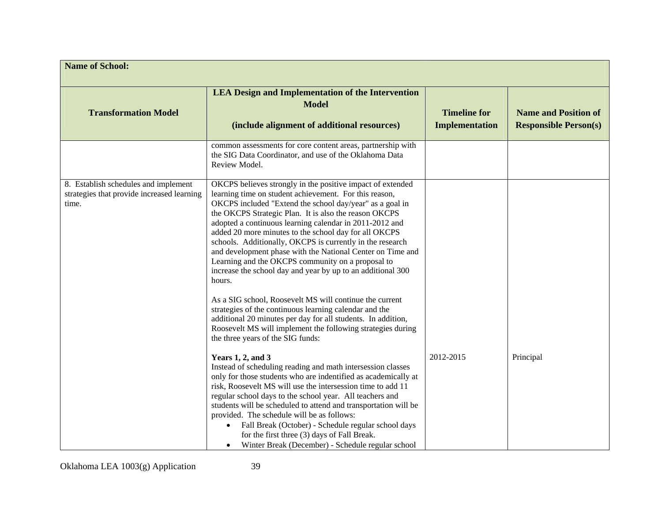| <b>Name of School:</b>                                                                      |                                                                                                                                                                                                                                                                                                                                                                                                                                                                                                                                                                                                                        |                                              |                                                             |
|---------------------------------------------------------------------------------------------|------------------------------------------------------------------------------------------------------------------------------------------------------------------------------------------------------------------------------------------------------------------------------------------------------------------------------------------------------------------------------------------------------------------------------------------------------------------------------------------------------------------------------------------------------------------------------------------------------------------------|----------------------------------------------|-------------------------------------------------------------|
| <b>Transformation Model</b>                                                                 | <b>LEA Design and Implementation of the Intervention</b><br><b>Model</b><br>(include alignment of additional resources)                                                                                                                                                                                                                                                                                                                                                                                                                                                                                                | <b>Timeline for</b><br><b>Implementation</b> | <b>Name and Position of</b><br><b>Responsible Person(s)</b> |
|                                                                                             | common assessments for core content areas, partnership with<br>the SIG Data Coordinator, and use of the Oklahoma Data<br>Review Model.                                                                                                                                                                                                                                                                                                                                                                                                                                                                                 |                                              |                                                             |
| 8. Establish schedules and implement<br>strategies that provide increased learning<br>time. | OKCPS believes strongly in the positive impact of extended<br>learning time on student achievement. For this reason,<br>OKCPS included "Extend the school day/year" as a goal in<br>the OKCPS Strategic Plan. It is also the reason OKCPS<br>adopted a continuous learning calendar in 2011-2012 and<br>added 20 more minutes to the school day for all OKCPS<br>schools. Additionally, OKCPS is currently in the research<br>and development phase with the National Center on Time and<br>Learning and the OKCPS community on a proposal to<br>increase the school day and year by up to an additional 300<br>hours. |                                              |                                                             |
|                                                                                             | As a SIG school, Roosevelt MS will continue the current<br>strategies of the continuous learning calendar and the<br>additional 20 minutes per day for all students. In addition,<br>Roosevelt MS will implement the following strategies during<br>the three years of the SIG funds:                                                                                                                                                                                                                                                                                                                                  |                                              |                                                             |
|                                                                                             | Years $1, 2$ , and $3$<br>Instead of scheduling reading and math intersession classes<br>only for those students who are indentified as academically at<br>risk, Roosevelt MS will use the intersession time to add 11<br>regular school days to the school year. All teachers and<br>students will be scheduled to attend and transportation will be<br>provided. The schedule will be as follows:<br>Fall Break (October) - Schedule regular school days<br>for the first three (3) days of Fall Break.<br>Winter Break (December) - Schedule regular school                                                         | 2012-2015                                    | Principal                                                   |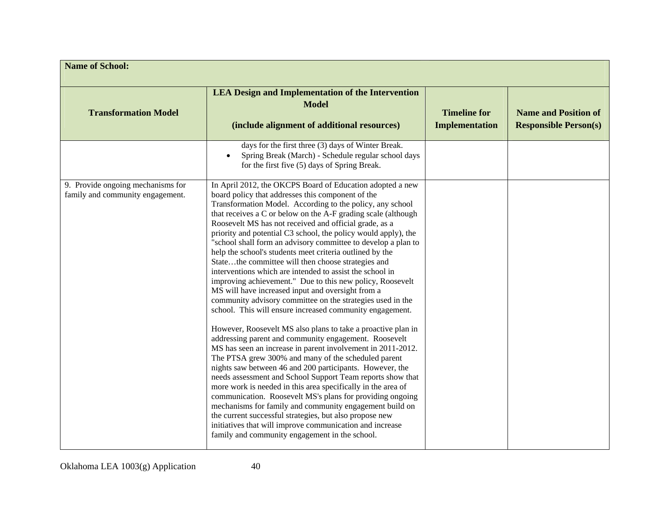| <b>Name of School:</b>                                                |                                                                                                                                                                                                                                                                                                                                                                                                                                                                                                                                                                                                                                                                                                                                                                                                                                                                                                                                                                                                                                                                                                                                                                                                                                                                                                                                                                                                                                                                                                                                                                                                               |                                       |                                                             |
|-----------------------------------------------------------------------|---------------------------------------------------------------------------------------------------------------------------------------------------------------------------------------------------------------------------------------------------------------------------------------------------------------------------------------------------------------------------------------------------------------------------------------------------------------------------------------------------------------------------------------------------------------------------------------------------------------------------------------------------------------------------------------------------------------------------------------------------------------------------------------------------------------------------------------------------------------------------------------------------------------------------------------------------------------------------------------------------------------------------------------------------------------------------------------------------------------------------------------------------------------------------------------------------------------------------------------------------------------------------------------------------------------------------------------------------------------------------------------------------------------------------------------------------------------------------------------------------------------------------------------------------------------------------------------------------------------|---------------------------------------|-------------------------------------------------------------|
| <b>Transformation Model</b>                                           | <b>LEA Design and Implementation of the Intervention</b><br><b>Model</b><br>(include alignment of additional resources)                                                                                                                                                                                                                                                                                                                                                                                                                                                                                                                                                                                                                                                                                                                                                                                                                                                                                                                                                                                                                                                                                                                                                                                                                                                                                                                                                                                                                                                                                       | <b>Timeline for</b><br>Implementation | <b>Name and Position of</b><br><b>Responsible Person(s)</b> |
|                                                                       | days for the first three (3) days of Winter Break.<br>Spring Break (March) - Schedule regular school days<br>$\bullet$<br>for the first five (5) days of Spring Break.                                                                                                                                                                                                                                                                                                                                                                                                                                                                                                                                                                                                                                                                                                                                                                                                                                                                                                                                                                                                                                                                                                                                                                                                                                                                                                                                                                                                                                        |                                       |                                                             |
| 9. Provide ongoing mechanisms for<br>family and community engagement. | In April 2012, the OKCPS Board of Education adopted a new<br>board policy that addresses this component of the<br>Transformation Model. According to the policy, any school<br>that receives a C or below on the A-F grading scale (although<br>Roosevelt MS has not received and official grade, as a<br>priority and potential C3 school, the policy would apply), the<br>"school shall form an advisory committee to develop a plan to<br>help the school's students meet criteria outlined by the<br>Statethe committee will then choose strategies and<br>interventions which are intended to assist the school in<br>improving achievement." Due to this new policy, Roosevelt<br>MS will have increased input and oversight from a<br>community advisory committee on the strategies used in the<br>school. This will ensure increased community engagement.<br>However, Roosevelt MS also plans to take a proactive plan in<br>addressing parent and community engagement. Roosevelt<br>MS has seen an increase in parent involvement in 2011-2012.<br>The PTSA grew 300% and many of the scheduled parent<br>nights saw between 46 and 200 participants. However, the<br>needs assessment and School Support Team reports show that<br>more work is needed in this area specifically in the area of<br>communication. Roosevelt MS's plans for providing ongoing<br>mechanisms for family and community engagement build on<br>the current successful strategies, but also propose new<br>initiatives that will improve communication and increase<br>family and community engagement in the school. |                                       |                                                             |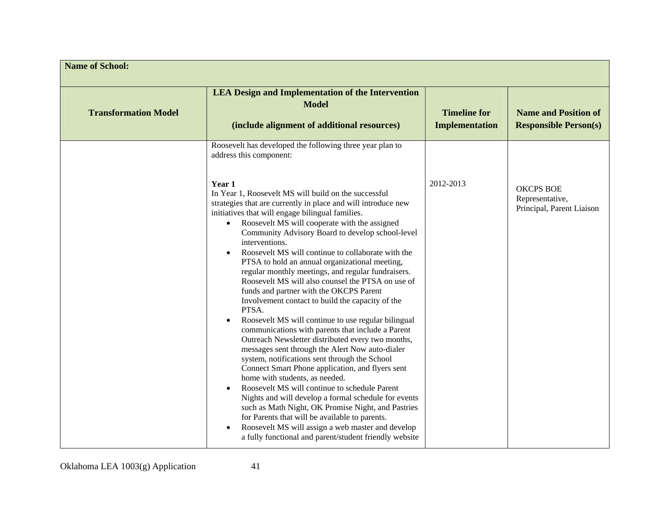| <b>Name of School:</b>      |                                                                                                                                                                                                                                                                                                                                                                                                                                                                                                                                                                                                                                                                                                                                                                                                                                                                                                                                                                                                                                                                                                                                                                                                                                                                                                                                                            |                                       |                                                                  |
|-----------------------------|------------------------------------------------------------------------------------------------------------------------------------------------------------------------------------------------------------------------------------------------------------------------------------------------------------------------------------------------------------------------------------------------------------------------------------------------------------------------------------------------------------------------------------------------------------------------------------------------------------------------------------------------------------------------------------------------------------------------------------------------------------------------------------------------------------------------------------------------------------------------------------------------------------------------------------------------------------------------------------------------------------------------------------------------------------------------------------------------------------------------------------------------------------------------------------------------------------------------------------------------------------------------------------------------------------------------------------------------------------|---------------------------------------|------------------------------------------------------------------|
| <b>Transformation Model</b> | <b>LEA Design and Implementation of the Intervention</b><br><b>Model</b><br>(include alignment of additional resources)                                                                                                                                                                                                                                                                                                                                                                                                                                                                                                                                                                                                                                                                                                                                                                                                                                                                                                                                                                                                                                                                                                                                                                                                                                    | <b>Timeline for</b><br>Implementation | <b>Name and Position of</b><br><b>Responsible Person(s)</b>      |
|                             | Roosevelt has developed the following three year plan to<br>address this component:                                                                                                                                                                                                                                                                                                                                                                                                                                                                                                                                                                                                                                                                                                                                                                                                                                                                                                                                                                                                                                                                                                                                                                                                                                                                        |                                       |                                                                  |
|                             | Year 1<br>In Year 1, Roosevelt MS will build on the successful<br>strategies that are currently in place and will introduce new<br>initiatives that will engage bilingual families.<br>Roosevelt MS will cooperate with the assigned<br>$\bullet$<br>Community Advisory Board to develop school-level<br>interventions.<br>Roosevelt MS will continue to collaborate with the<br>PTSA to hold an annual organizational meeting,<br>regular monthly meetings, and regular fundraisers.<br>Roosevelt MS will also counsel the PTSA on use of<br>funds and partner with the OKCPS Parent<br>Involvement contact to build the capacity of the<br>PTSA.<br>Roosevelt MS will continue to use regular bilingual<br>communications with parents that include a Parent<br>Outreach Newsletter distributed every two months,<br>messages sent through the Alert Now auto-dialer<br>system, notifications sent through the School<br>Connect Smart Phone application, and flyers sent<br>home with students, as needed.<br>Roosevelt MS will continue to schedule Parent<br>Nights and will develop a formal schedule for events<br>such as Math Night, OK Promise Night, and Pastries<br>for Parents that will be available to parents.<br>Roosevelt MS will assign a web master and develop<br>$\bullet$<br>a fully functional and parent/student friendly website | 2012-2013                             | <b>OKCPS BOE</b><br>Representative,<br>Principal, Parent Liaison |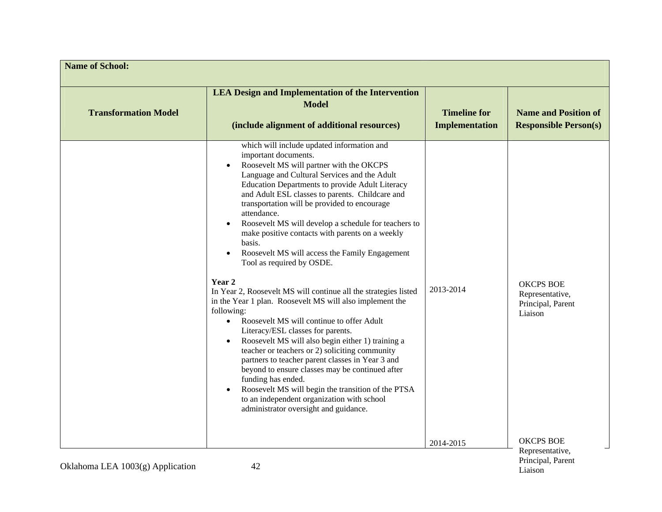| <b>Name of School:</b>      |                                                                                                                                                                                                                                                                                                                                                                                                                                                                                                                                                                                                                                                                                                                                                                                                                                                                                                                                                                                                                                                                                                                                                                                             |                                              |                                                                     |
|-----------------------------|---------------------------------------------------------------------------------------------------------------------------------------------------------------------------------------------------------------------------------------------------------------------------------------------------------------------------------------------------------------------------------------------------------------------------------------------------------------------------------------------------------------------------------------------------------------------------------------------------------------------------------------------------------------------------------------------------------------------------------------------------------------------------------------------------------------------------------------------------------------------------------------------------------------------------------------------------------------------------------------------------------------------------------------------------------------------------------------------------------------------------------------------------------------------------------------------|----------------------------------------------|---------------------------------------------------------------------|
| <b>Transformation Model</b> | <b>LEA Design and Implementation of the Intervention</b><br><b>Model</b><br>(include alignment of additional resources)                                                                                                                                                                                                                                                                                                                                                                                                                                                                                                                                                                                                                                                                                                                                                                                                                                                                                                                                                                                                                                                                     | <b>Timeline for</b><br><b>Implementation</b> | <b>Name and Position of</b><br><b>Responsible Person(s)</b>         |
|                             | which will include updated information and<br>important documents.<br>Roosevelt MS will partner with the OKCPS<br>Language and Cultural Services and the Adult<br>Education Departments to provide Adult Literacy<br>and Adult ESL classes to parents. Childcare and<br>transportation will be provided to encourage<br>attendance.<br>Roosevelt MS will develop a schedule for teachers to<br>$\bullet$<br>make positive contacts with parents on a weekly<br>basis.<br>Roosevelt MS will access the Family Engagement<br>Tool as required by OSDE.<br>Year 2<br>In Year 2, Roosevelt MS will continue all the strategies listed<br>in the Year 1 plan. Roosevelt MS will also implement the<br>following:<br>Roosevelt MS will continue to offer Adult<br>$\bullet$<br>Literacy/ESL classes for parents.<br>Roosevelt MS will also begin either 1) training a<br>teacher or teachers or 2) soliciting community<br>partners to teacher parent classes in Year 3 and<br>beyond to ensure classes may be continued after<br>funding has ended.<br>Roosevelt MS will begin the transition of the PTSA<br>to an independent organization with school<br>administrator oversight and guidance. | 2013-2014                                    | <b>OKCPS BOE</b><br>Representative,<br>Principal, Parent<br>Liaison |
|                             |                                                                                                                                                                                                                                                                                                                                                                                                                                                                                                                                                                                                                                                                                                                                                                                                                                                                                                                                                                                                                                                                                                                                                                                             | 2014-2015                                    | <b>OKCPS BOE</b><br>Representative,                                 |

Liaison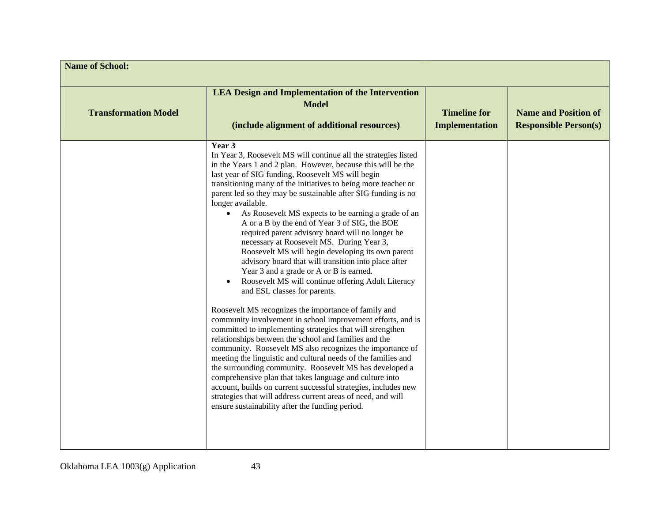| <b>Name of School:</b>      |                                                                                                                                                                                                                                                                                                                                                                                                                                                                                                                                                                                                                                                                                                                                                                                                                                                                                                                                                                                                                                                                                                                                                                                                                                                                                                                                                                                                                                                                                                                  |                                              |                                                             |
|-----------------------------|------------------------------------------------------------------------------------------------------------------------------------------------------------------------------------------------------------------------------------------------------------------------------------------------------------------------------------------------------------------------------------------------------------------------------------------------------------------------------------------------------------------------------------------------------------------------------------------------------------------------------------------------------------------------------------------------------------------------------------------------------------------------------------------------------------------------------------------------------------------------------------------------------------------------------------------------------------------------------------------------------------------------------------------------------------------------------------------------------------------------------------------------------------------------------------------------------------------------------------------------------------------------------------------------------------------------------------------------------------------------------------------------------------------------------------------------------------------------------------------------------------------|----------------------------------------------|-------------------------------------------------------------|
| <b>Transformation Model</b> | <b>LEA Design and Implementation of the Intervention</b><br><b>Model</b><br>(include alignment of additional resources)                                                                                                                                                                                                                                                                                                                                                                                                                                                                                                                                                                                                                                                                                                                                                                                                                                                                                                                                                                                                                                                                                                                                                                                                                                                                                                                                                                                          | <b>Timeline for</b><br><b>Implementation</b> | <b>Name and Position of</b><br><b>Responsible Person(s)</b> |
|                             | Year 3<br>In Year 3, Roosevelt MS will continue all the strategies listed<br>in the Years 1 and 2 plan. However, because this will be the<br>last year of SIG funding, Roosevelt MS will begin<br>transitioning many of the initiatives to being more teacher or<br>parent led so they may be sustainable after SIG funding is no<br>longer available.<br>As Roosevelt MS expects to be earning a grade of an<br>$\bullet$<br>A or a B by the end of Year 3 of SIG, the BOE<br>required parent advisory board will no longer be<br>necessary at Roosevelt MS. During Year 3,<br>Roosevelt MS will begin developing its own parent<br>advisory board that will transition into place after<br>Year 3 and a grade or A or B is earned.<br>Roosevelt MS will continue offering Adult Literacy<br>and ESL classes for parents.<br>Roosevelt MS recognizes the importance of family and<br>community involvement in school improvement efforts, and is<br>committed to implementing strategies that will strengthen<br>relationships between the school and families and the<br>community. Roosevelt MS also recognizes the importance of<br>meeting the linguistic and cultural needs of the families and<br>the surrounding community. Roosevelt MS has developed a<br>comprehensive plan that takes language and culture into<br>account, builds on current successful strategies, includes new<br>strategies that will address current areas of need, and will<br>ensure sustainability after the funding period. |                                              |                                                             |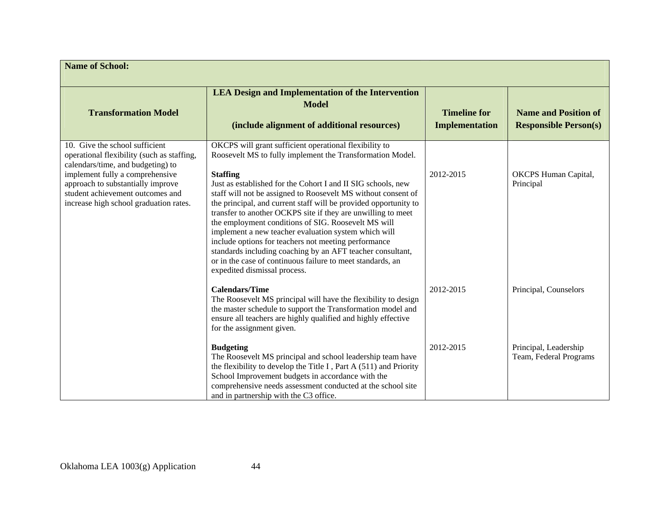| <b>Name of School:</b>                                                                                                                                                                                                                                                  |                                                                                                                                                                                                                                                                                                                                                                                                                                                                                                                                                                                                                                                                                                                                                |                                              |                                                             |
|-------------------------------------------------------------------------------------------------------------------------------------------------------------------------------------------------------------------------------------------------------------------------|------------------------------------------------------------------------------------------------------------------------------------------------------------------------------------------------------------------------------------------------------------------------------------------------------------------------------------------------------------------------------------------------------------------------------------------------------------------------------------------------------------------------------------------------------------------------------------------------------------------------------------------------------------------------------------------------------------------------------------------------|----------------------------------------------|-------------------------------------------------------------|
| <b>Transformation Model</b>                                                                                                                                                                                                                                             | <b>LEA Design and Implementation of the Intervention</b><br><b>Model</b><br>(include alignment of additional resources)                                                                                                                                                                                                                                                                                                                                                                                                                                                                                                                                                                                                                        | <b>Timeline for</b><br><b>Implementation</b> | <b>Name and Position of</b><br><b>Responsible Person(s)</b> |
| 10. Give the school sufficient<br>operational flexibility (such as staffing,<br>calendars/time, and budgeting) to<br>implement fully a comprehensive<br>approach to substantially improve<br>student achievement outcomes and<br>increase high school graduation rates. | OKCPS will grant sufficient operational flexibility to<br>Roosevelt MS to fully implement the Transformation Model.<br><b>Staffing</b><br>Just as established for the Cohort I and II SIG schools, new<br>staff will not be assigned to Roosevelt MS without consent of<br>the principal, and current staff will be provided opportunity to<br>transfer to another OCKPS site if they are unwilling to meet<br>the employment conditions of SIG. Roosevelt MS will<br>implement a new teacher evaluation system which will<br>include options for teachers not meeting performance<br>standards including coaching by an AFT teacher consultant,<br>or in the case of continuous failure to meet standards, an<br>expedited dismissal process. | 2012-2015                                    | <b>OKCPS</b> Human Capital,<br>Principal                    |
|                                                                                                                                                                                                                                                                         | <b>Calendars/Time</b><br>The Roosevelt MS principal will have the flexibility to design<br>the master schedule to support the Transformation model and<br>ensure all teachers are highly qualified and highly effective<br>for the assignment given.                                                                                                                                                                                                                                                                                                                                                                                                                                                                                           | 2012-2015                                    | Principal, Counselors                                       |
|                                                                                                                                                                                                                                                                         | <b>Budgeting</b><br>The Roosevelt MS principal and school leadership team have<br>the flexibility to develop the Title I, Part A $(511)$ and Priority<br>School Improvement budgets in accordance with the<br>comprehensive needs assessment conducted at the school site<br>and in partnership with the C3 office.                                                                                                                                                                                                                                                                                                                                                                                                                            | 2012-2015                                    | Principal, Leadership<br>Team, Federal Programs             |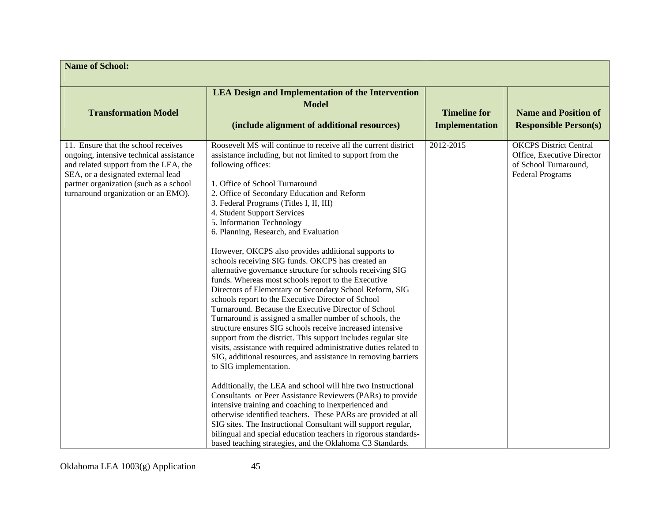| <b>Name of School:</b>                                                                                                                                                                                                                         |                                                                                                                                                                                                                                                                                                                                                                                                                                                                                                                                                                                                                                                                                                                                                                                                                                                                                                                                                                                                                                                                                                                                                                                                                                                                                                                                                                                                                                                                                                                                                                                                                |                                              |                                                                                                                 |
|------------------------------------------------------------------------------------------------------------------------------------------------------------------------------------------------------------------------------------------------|----------------------------------------------------------------------------------------------------------------------------------------------------------------------------------------------------------------------------------------------------------------------------------------------------------------------------------------------------------------------------------------------------------------------------------------------------------------------------------------------------------------------------------------------------------------------------------------------------------------------------------------------------------------------------------------------------------------------------------------------------------------------------------------------------------------------------------------------------------------------------------------------------------------------------------------------------------------------------------------------------------------------------------------------------------------------------------------------------------------------------------------------------------------------------------------------------------------------------------------------------------------------------------------------------------------------------------------------------------------------------------------------------------------------------------------------------------------------------------------------------------------------------------------------------------------------------------------------------------------|----------------------------------------------|-----------------------------------------------------------------------------------------------------------------|
| <b>Transformation Model</b>                                                                                                                                                                                                                    | <b>LEA Design and Implementation of the Intervention</b><br><b>Model</b><br>(include alignment of additional resources)                                                                                                                                                                                                                                                                                                                                                                                                                                                                                                                                                                                                                                                                                                                                                                                                                                                                                                                                                                                                                                                                                                                                                                                                                                                                                                                                                                                                                                                                                        | <b>Timeline for</b><br><b>Implementation</b> | <b>Name and Position of</b><br><b>Responsible Person(s)</b>                                                     |
| 11. Ensure that the school receives<br>ongoing, intensive technical assistance<br>and related support from the LEA, the<br>SEA, or a designated external lead<br>partner organization (such as a school<br>turnaround organization or an EMO). | Roosevelt MS will continue to receive all the current district<br>assistance including, but not limited to support from the<br>following offices:<br>1. Office of School Turnaround<br>2. Office of Secondary Education and Reform<br>3. Federal Programs (Titles I, II, III)<br>4. Student Support Services<br>5. Information Technology<br>6. Planning, Research, and Evaluation<br>However, OKCPS also provides additional supports to<br>schools receiving SIG funds. OKCPS has created an<br>alternative governance structure for schools receiving SIG<br>funds. Whereas most schools report to the Executive<br>Directors of Elementary or Secondary School Reform, SIG<br>schools report to the Executive Director of School<br>Turnaround. Because the Executive Director of School<br>Turnaround is assigned a smaller number of schools, the<br>structure ensures SIG schools receive increased intensive<br>support from the district. This support includes regular site<br>visits, assistance with required administrative duties related to<br>SIG, additional resources, and assistance in removing barriers<br>to SIG implementation.<br>Additionally, the LEA and school will hire two Instructional<br>Consultants or Peer Assistance Reviewers (PARs) to provide<br>intensive training and coaching to inexperienced and<br>otherwise identified teachers. These PARs are provided at all<br>SIG sites. The Instructional Consultant will support regular,<br>bilingual and special education teachers in rigorous standards-<br>based teaching strategies, and the Oklahoma C3 Standards. | 2012-2015                                    | <b>OKCPS</b> District Central<br>Office, Executive Director<br>of School Turnaround,<br><b>Federal Programs</b> |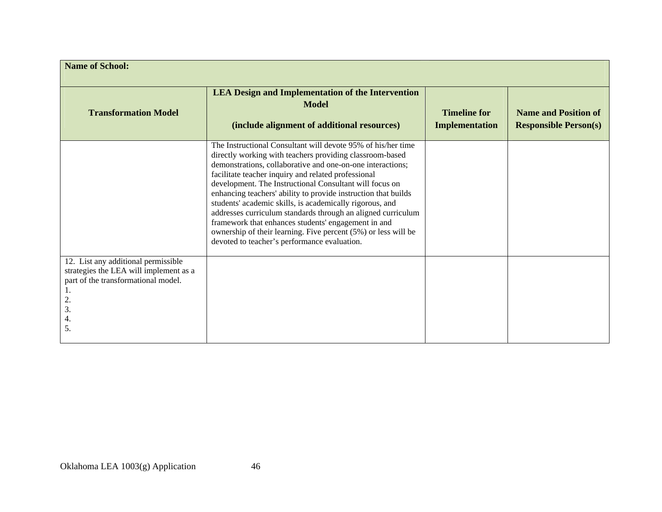| <b>Name of School:</b>                                                                                                                       |                                                                                                                                                                                                                                                                                                                                                                                                                                                                                                                                                                                                                                                                                 |                                              |                                                             |
|----------------------------------------------------------------------------------------------------------------------------------------------|---------------------------------------------------------------------------------------------------------------------------------------------------------------------------------------------------------------------------------------------------------------------------------------------------------------------------------------------------------------------------------------------------------------------------------------------------------------------------------------------------------------------------------------------------------------------------------------------------------------------------------------------------------------------------------|----------------------------------------------|-------------------------------------------------------------|
| <b>Transformation Model</b>                                                                                                                  | <b>LEA Design and Implementation of the Intervention</b><br><b>Model</b><br>(include alignment of additional resources)                                                                                                                                                                                                                                                                                                                                                                                                                                                                                                                                                         | <b>Timeline for</b><br><b>Implementation</b> | <b>Name and Position of</b><br><b>Responsible Person(s)</b> |
|                                                                                                                                              | The Instructional Consultant will devote 95% of his/her time<br>directly working with teachers providing classroom-based<br>demonstrations, collaborative and one-on-one interactions;<br>facilitate teacher inquiry and related professional<br>development. The Instructional Consultant will focus on<br>enhancing teachers' ability to provide instruction that builds<br>students' academic skills, is academically rigorous, and<br>addresses curriculum standards through an aligned curriculum<br>framework that enhances students' engagement in and<br>ownership of their learning. Five percent (5%) or less will be<br>devoted to teacher's performance evaluation. |                                              |                                                             |
| 12. List any additional permissible<br>strategies the LEA will implement as a<br>part of the transformational model.<br>2.<br>3.<br>4.<br>5. |                                                                                                                                                                                                                                                                                                                                                                                                                                                                                                                                                                                                                                                                                 |                                              |                                                             |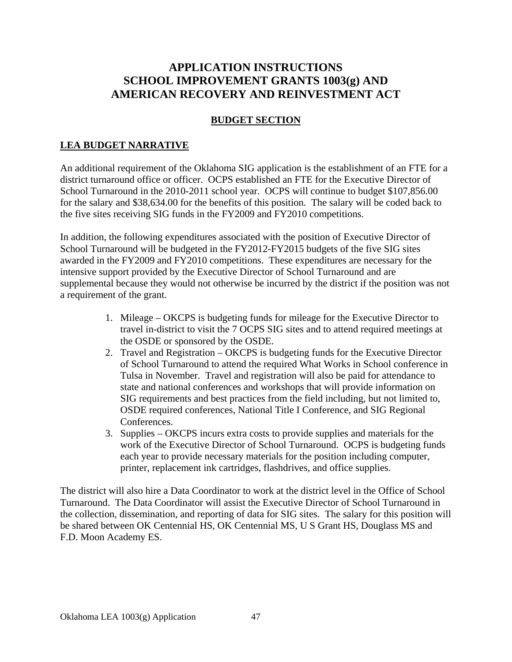# **APPLICATION INSTRUCTIONS SCHOOL IMPROVEMENT GRANTS 1003(g) AND AMERICAN RECOVERY AND REINVESTMENT ACT**

## **BUDGET SECTION**

# **LEA BUDGET NARRATIVE**

An additional requirement of the Oklahoma SIG application is the establishment of an FTE for a district turnaround office or officer. OCPS established an FTE for the Executive Director of School Turnaround in the 2010-2011 school year. OCPS will continue to budget \$107,856.00 for the salary and \$38,634.00 for the benefits of this position. The salary will be coded back to the five sites receiving SIG funds in the FY2009 and FY2010 competitions.

In addition, the following expenditures associated with the position of Executive Director of School Turnaround will be budgeted in the FY2012-FY2015 budgets of the five SIG sites awarded in the FY2009 and FY2010 competitions. These expenditures are necessary for the intensive support provided by the Executive Director of School Turnaround and are supplemental because they would not otherwise be incurred by the district if the position was not a requirement of the grant.

- 1. Mileage OKCPS is budgeting funds for mileage for the Executive Director to travel in-district to visit the 7 OCPS SIG sites and to attend required meetings at the OSDE or sponsored by the OSDE.
- 2. Travel and Registration OKCPS is budgeting funds for the Executive Director of School Turnaround to attend the required What Works in School conference in Tulsa in November. Travel and registration will also be paid for attendance to state and national conferences and workshops that will provide information on SIG requirements and best practices from the field including, but not limited to, OSDE required conferences, National Title I Conference, and SIG Regional Conferences.
- 3. Supplies OKCPS incurs extra costs to provide supplies and materials for the work of the Executive Director of School Turnaround. OCPS is budgeting funds each year to provide necessary materials for the position including computer, printer, replacement ink cartridges, flashdrives, and office supplies.

The district will also hire a Data Coordinator to work at the district level in the Office of School Turnaround. The Data Coordinator will assist the Executive Director of School Turnaround in the collection, dissemination, and reporting of data for SIG sites. The salary for this position will be shared between OK Centennial HS, OK Centennial MS, U S Grant HS, Douglass MS and F.D. Moon Academy ES.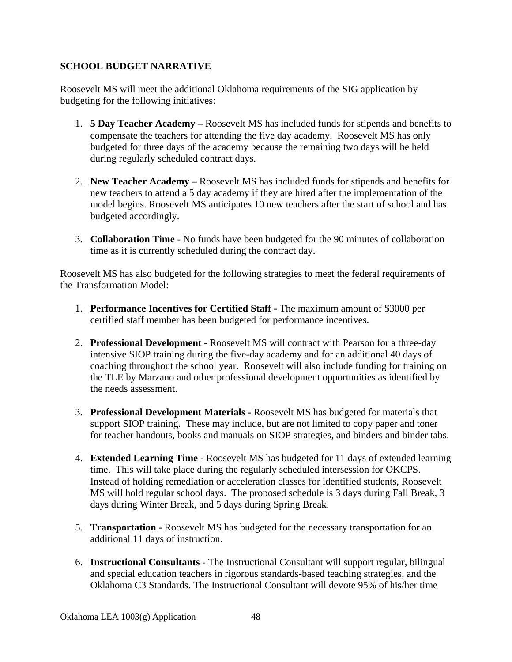# **SCHOOL BUDGET NARRATIVE**

Roosevelt MS will meet the additional Oklahoma requirements of the SIG application by budgeting for the following initiatives:

- 1. **5 Day Teacher Academy** Roosevelt MS has included funds for stipends and benefits to compensate the teachers for attending the five day academy. Roosevelt MS has only budgeted for three days of the academy because the remaining two days will be held during regularly scheduled contract days.
- 2. **New Teacher Academy** Roosevelt MS has included funds for stipends and benefits for new teachers to attend a 5 day academy if they are hired after the implementation of the model begins. Roosevelt MS anticipates 10 new teachers after the start of school and has budgeted accordingly.
- 3. **Collaboration Time** No funds have been budgeted for the 90 minutes of collaboration time as it is currently scheduled during the contract day.

Roosevelt MS has also budgeted for the following strategies to meet the federal requirements of the Transformation Model:

- 1. **Performance Incentives for Certified Staff** The maximum amount of \$3000 per certified staff member has been budgeted for performance incentives.
- 2. **Professional Development** Roosevelt MS will contract with Pearson for a three-day intensive SIOP training during the five-day academy and for an additional 40 days of coaching throughout the school year. Roosevelt will also include funding for training on the TLE by Marzano and other professional development opportunities as identified by the needs assessment.
- 3. **Professional Development Materials** Roosevelt MS has budgeted for materials that support SIOP training. These may include, but are not limited to copy paper and toner for teacher handouts, books and manuals on SIOP strategies, and binders and binder tabs.
- 4. **Extended Learning Time** Roosevelt MS has budgeted for 11 days of extended learning time. This will take place during the regularly scheduled intersession for OKCPS. Instead of holding remediation or acceleration classes for identified students, Roosevelt MS will hold regular school days. The proposed schedule is 3 days during Fall Break, 3 days during Winter Break, and 5 days during Spring Break.
- 5. **Transportation** Roosevelt MS has budgeted for the necessary transportation for an additional 11 days of instruction.
- 6. **Instructional Consultants** The Instructional Consultant will support regular, bilingual and special education teachers in rigorous standards-based teaching strategies, and the Oklahoma C3 Standards. The Instructional Consultant will devote 95% of his/her time